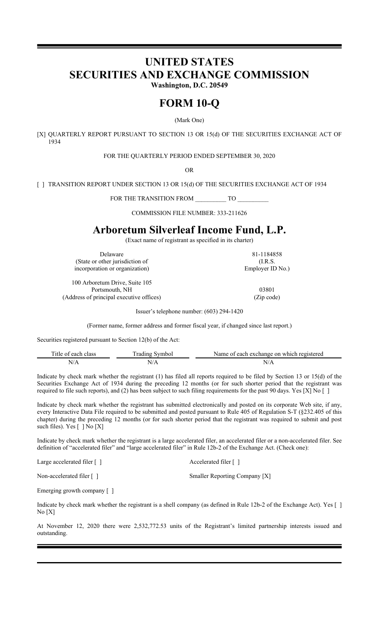# **UNITED STATES SECURITIES AND EXCHANGE COMMISSION**

**Washington, D.C. 20549**

# **FORM 10-Q**

(Mark One)

[X] QUARTERLY REPORT PURSUANT TO SECTION 13 OR 15(d) OF THE SECURITIES EXCHANGE ACT OF 1934

FOR THE QUARTERLY PERIOD ENDED SEPTEMBER 30, 2020

OR

[ ] TRANSITION REPORT UNDER SECTION 13 OR 15(d) OF THE SECURITIES EXCHANGE ACT OF 1934

FOR THE TRANSITION FROM TO

COMMISSION FILE NUMBER: 333-211626

# **Arboretum Silverleaf Income Fund, L.P.**

(Exact name of registrant as specified in its charter)

Delaware 81-1184858 (State or other jurisdiction of incorporation or organization)

(I.R.S. Employer ID No.)

100 Arboretum Drive, Suite 105 Portsmouth, NH 03801 (Address of principal executive offices) (Zip code)

Issuer's telephone number: (603) 294-1420

(Former name, former address and former fiscal year, if changed since last report.)

Securities registered pursuant to Section 12(b) of the Act:

| each class<br>itle of | ivmbol<br>rad.<br>1n o | Name o<br>each exchange on which registered<br>. OL |
|-----------------------|------------------------|-----------------------------------------------------|
|                       | N                      | 'N,                                                 |

Indicate by check mark whether the registrant (1) has filed all reports required to be filed by Section 13 or 15(d) of the Securities Exchange Act of 1934 during the preceding 12 months (or for such shorter period that the registrant was required to file such reports), and (2) has been subject to such filing requirements for the past 90 days. Yes [X] No [ ]

Indicate by check mark whether the registrant has submitted electronically and posted on its corporate Web site, if any, every Interactive Data File required to be submitted and posted pursuant to Rule 405 of Regulation S-T (§232.405 of this chapter) during the preceding 12 months (or for such shorter period that the registrant was required to submit and post such files). Yes [ ] No [X]

Indicate by check mark whether the registrant is a large accelerated filer, an accelerated filer or a non-accelerated filer. See definition of "accelerated filer" and "large accelerated filer" in Rule 12b-2 of the Exchange Act. (Check one):

Large accelerated filer [ ] Accelerated filer [ ]

Non-accelerated filer [ ] Smaller Reporting Company [X]

Emerging growth company [ ]

Indicate by check mark whether the registrant is a shell company (as defined in Rule 12b-2 of the Exchange Act). Yes [ ]  $No[X]$ 

At November 12, 2020 there were 2,532,772.53 units of the Registrant's limited partnership interests issued and outstanding.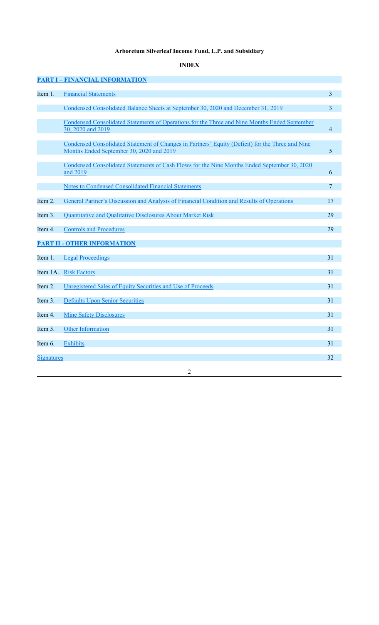# **Arboretum Silverleaf Income Fund, L.P. and Subsidiary**

# **INDEX**

|                   | <b>PART I - FINANCIAL INFORMATION</b>                                                                                                        |                |
|-------------------|----------------------------------------------------------------------------------------------------------------------------------------------|----------------|
| Item 1.           | <b>Financial Statements</b>                                                                                                                  | 3              |
|                   | Condensed Consolidated Balance Sheets at September 30, 2020 and December 31, 2019                                                            | 3              |
|                   | Condensed Consolidated Statements of Operations for the Three and Nine Months Ended September<br>30, 2020 and 2019                           | $\overline{4}$ |
|                   | Condensed Consolidated Statement of Changes in Partners' Equity (Deficit) for the Three and Nine<br>Months Ended September 30, 2020 and 2019 | 5              |
|                   | Condensed Consolidated Statements of Cash Flows for the Nine Months Ended September 30, 2020<br>and 2019                                     | 6              |
|                   | <b>Notes to Condensed Consolidated Financial Statements</b>                                                                                  | $\overline{7}$ |
| Item 2.           | General Partner's Discussion and Analysis of Financial Condition and Results of Operations                                                   | 17             |
| Item 3.           | Quantitative and Qualitative Disclosures About Market Risk                                                                                   | 29             |
| Item 4.           | <b>Controls and Procedures</b>                                                                                                               | 29             |
|                   | <b>PART II - OTHER INFORMATION</b>                                                                                                           |                |
| Item 1.           | <b>Legal Proceedings</b>                                                                                                                     | 31             |
|                   | Item 1A. Risk Factors                                                                                                                        | 31             |
| Item 2.           | Unregistered Sales of Equity Securities and Use of Proceeds                                                                                  | 31             |
| Item 3.           | <b>Defaults Upon Senior Securities</b>                                                                                                       | 31             |
| Item 4.           | <b>Mine Safety Disclosures</b>                                                                                                               | 31             |
| Item 5.           | Other Information                                                                                                                            | 31             |
| Item 6.           | <b>Exhibits</b>                                                                                                                              | 31             |
| <b>Signatures</b> |                                                                                                                                              | 32             |
|                   | 2                                                                                                                                            |                |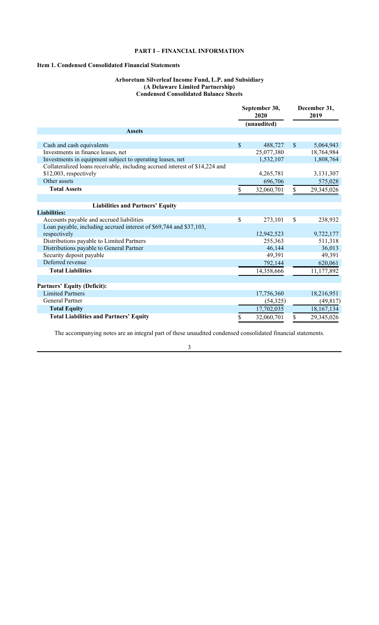# **PART I – FINANCIAL INFORMATION**

# **Item 1. Condensed Consolidated Financial Statements**

#### **Arboretum Silverleaf Income Fund, L.P. and Subsidiary (A Delaware Limited Partnership) Condensed Consolidated Balance Sheets**

|                                                                             |                    | September 30,<br>2020 | December 31,<br>2019 |            |
|-----------------------------------------------------------------------------|--------------------|-----------------------|----------------------|------------|
| <b>Assets</b>                                                               |                    | (unaudited)           |                      |            |
|                                                                             |                    |                       |                      |            |
| Cash and cash equivalents                                                   | $\mathbf{\hat{S}}$ | 488,727               | $\mathcal{S}$        | 5,064,943  |
| Investments in finance leases, net                                          |                    | 25,077,380            |                      | 18,764,984 |
| Investments in equipment subject to operating leases, net                   |                    | 1,532,107             |                      | 1,808,764  |
| Collateralized loans receivable, including accrued interest of \$14,224 and |                    |                       |                      |            |
| $$12,003$ , respectively                                                    |                    | 4,265,781             |                      | 3,131,307  |
| Other assets                                                                |                    | 696,706               |                      | 575,028    |
| <b>Total Assets</b>                                                         | \$                 | 32,060,701            | \$                   | 29,345,026 |
|                                                                             |                    |                       |                      |            |
| <b>Liabilities and Partners' Equity</b>                                     |                    |                       |                      |            |
| <b>Liabilities:</b>                                                         |                    |                       |                      |            |
| Accounts payable and accrued liabilities                                    | \$                 | 273,101               | \$                   | 238,932    |
| Loan payable, including accrued interest of \$69,744 and \$37,103,          |                    |                       |                      |            |
| respectively                                                                |                    | 12,942,523            |                      | 9,722,177  |
| Distributions payable to Limited Partners                                   |                    | 255,363               |                      | 511,318    |
| Distributions payable to General Partner                                    |                    | 46,144                |                      | 36,013     |
| Security deposit payable                                                    |                    | 49,391                |                      | 49,391     |
| Deferred revenue                                                            |                    | 792,144               |                      | 620,061    |
| <b>Total Liabilities</b>                                                    |                    | 14,358,666            |                      | 11,177,892 |
|                                                                             |                    |                       |                      |            |
| <b>Partners' Equity (Deficit):</b>                                          |                    |                       |                      |            |
| <b>Limited Partners</b>                                                     |                    | 17,756,360            |                      | 18,216,951 |
| <b>General Partner</b>                                                      |                    | (54,325)              |                      | (49, 817)  |
| <b>Total Equity</b>                                                         |                    | 17,702,035            |                      | 18,167,134 |
| <b>Total Liabilities and Partners' Equity</b>                               | \$                 | 32,060,701            | \$                   | 29,345,026 |

The accompanying notes are an integral part of these unaudited condensed consolidated financial statements.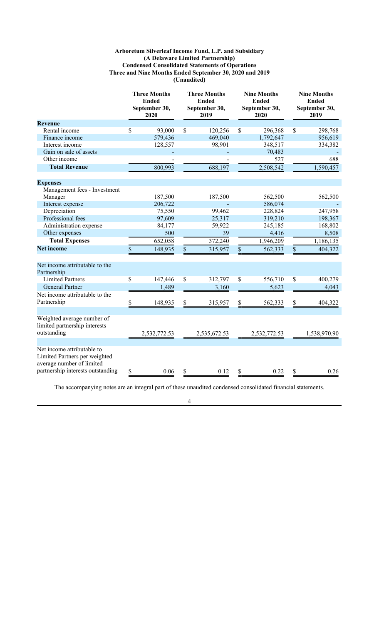# **Arboretum Silverleaf Income Fund, L.P. and Subsidiary (A Delaware Limited Partnership) Condensed Consolidated Statements of Operations Three and Nine Months Ended September 30, 2020 and 2019 (Unaudited)**

|                                                                                          |                 | <b>Three Months</b><br><b>Ended</b><br>September 30,<br>2020 | <b>Three Months</b><br><b>Ended</b><br>September 30,<br>2019 |              | <b>Nine Months</b><br><b>Ended</b><br>September 30,<br>2020 |              | <b>Nine Months</b><br><b>Ended</b><br>September 30,<br>2019 |
|------------------------------------------------------------------------------------------|-----------------|--------------------------------------------------------------|--------------------------------------------------------------|--------------|-------------------------------------------------------------|--------------|-------------------------------------------------------------|
| <b>Revenue</b>                                                                           |                 |                                                              |                                                              |              |                                                             |              |                                                             |
| Rental income                                                                            | \$              | 93,000                                                       | $\mathbb{S}$                                                 | 120,256      | $\mathbb{S}$                                                | 296,368      | \$<br>298,768                                               |
| Finance income                                                                           |                 | 579,436                                                      |                                                              | 469,040      |                                                             | 1,792,647    | 956,619                                                     |
| Interest income                                                                          |                 | 128,557                                                      |                                                              | 98,901       |                                                             | 348,517      | 334,382                                                     |
| Gain on sale of assets                                                                   |                 |                                                              |                                                              |              |                                                             | 70,483       |                                                             |
| Other income                                                                             |                 |                                                              |                                                              |              |                                                             | 527          | 688                                                         |
| <b>Total Revenue</b>                                                                     |                 | 800,993                                                      |                                                              | 688,197      |                                                             | 2,508,542    | 1,590,457                                                   |
| <b>Expenses</b>                                                                          |                 |                                                              |                                                              |              |                                                             |              |                                                             |
| Management fees - Investment                                                             |                 |                                                              |                                                              |              |                                                             |              |                                                             |
| Manager                                                                                  |                 | 187,500                                                      |                                                              | 187,500      |                                                             | 562,500      | 562,500                                                     |
| Interest expense                                                                         |                 | 206,722                                                      |                                                              |              |                                                             | 586,074      |                                                             |
| Depreciation                                                                             |                 | 75,550                                                       |                                                              | 99,462       |                                                             | 228,824      | 247,958                                                     |
| Professional fees                                                                        |                 | 97,609                                                       |                                                              | 25,317       |                                                             | 319,210      | 198,367                                                     |
| Administration expense                                                                   |                 | 84,177                                                       |                                                              | 59,922       |                                                             | 245,185      | 168,802                                                     |
| Other expenses                                                                           |                 | 500                                                          |                                                              | 39           |                                                             | 4,416        | 8,508                                                       |
| <b>Total Expenses</b>                                                                    |                 | 652,058                                                      |                                                              | 372,240      |                                                             | 1,946,209    | 1,186,135                                                   |
| <b>Net income</b>                                                                        | \$              | 148,935                                                      | $\boldsymbol{\mathsf{S}}$                                    | 315,957      | \$                                                          | 562,333      | \$<br>404,322                                               |
|                                                                                          |                 |                                                              |                                                              |              |                                                             |              |                                                             |
| Net income attributable to the                                                           |                 |                                                              |                                                              |              |                                                             |              |                                                             |
| Partnership                                                                              |                 |                                                              |                                                              |              |                                                             |              |                                                             |
| <b>Limited Partners</b>                                                                  | $\overline{\$}$ | 147,446                                                      | \$                                                           | 312,797      | \$                                                          | 556,710      | \$<br>400,279                                               |
| <b>General Partner</b>                                                                   |                 | 1,489                                                        |                                                              | 3,160        |                                                             | 5,623        | 4,043                                                       |
| Net income attributable to the                                                           |                 |                                                              |                                                              |              |                                                             |              |                                                             |
| Partnership                                                                              | \$              | 148,935                                                      | $\$$                                                         | 315,957      | \$                                                          | 562,333      | \$<br>404,322                                               |
|                                                                                          |                 |                                                              |                                                              |              |                                                             |              |                                                             |
| Weighted average number of<br>limited partnership interests                              |                 |                                                              |                                                              |              |                                                             |              |                                                             |
| outstanding                                                                              |                 | 2,532,772.53                                                 |                                                              | 2,535,672.53 |                                                             | 2,532,772.53 | 1,538,970.90                                                |
|                                                                                          |                 |                                                              |                                                              |              |                                                             |              |                                                             |
| Net income attributable to<br>Limited Partners per weighted<br>average number of limited |                 |                                                              |                                                              |              |                                                             |              |                                                             |
| partnership interests outstanding                                                        | \$              | 0.06                                                         | \$                                                           | 0.12         | \$                                                          | 0.22         | \$<br>0.26                                                  |

The accompanying notes are an integral part of these unaudited condensed consolidated financial statements.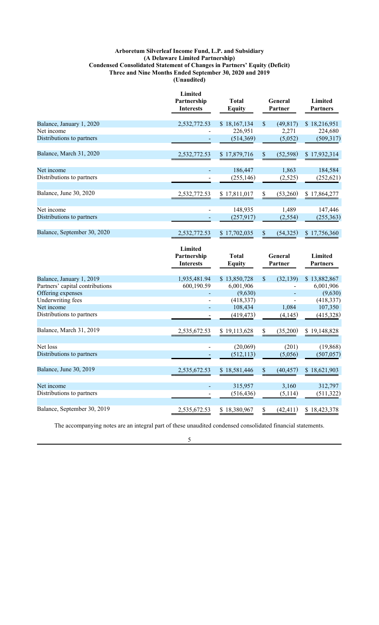# **Arboretum Silverleaf Income Fund, L.P. and Subsidiary (A Delaware Limited Partnership) Condensed Consolidated Statement of Changes in Partners' Equity (Deficit) Three and Nine Months Ended September 30, 2020 and 2019 (Unaudited)**

|                             | Limited<br>Partnership<br><b>Interests</b> | <b>Total</b><br><b>Equity</b> | General<br>Partner                    | Limited<br><b>Partners</b> |  |
|-----------------------------|--------------------------------------------|-------------------------------|---------------------------------------|----------------------------|--|
| Balance, January 1, 2020    | 2,532,772.53                               | \$18,167,134                  | $\mathcal{S}$<br>(49, 817)            | \$18,216,951               |  |
| Net income                  |                                            | 226,951                       | 2,271                                 | 224,680                    |  |
| Distributions to partners   |                                            | (514, 369)                    | (5,052)                               | (509, 317)                 |  |
| Balance, March 31, 2020     | 2,532,772.53                               | \$17,879,716                  | \$<br>(52, 598)                       | \$17,932,314               |  |
| Net income                  |                                            | 186,447                       | 1,863                                 | 184,584                    |  |
| Distributions to partners   |                                            | (255, 146)                    | (2,525)                               | (252, 621)                 |  |
| Balance, June 30, 2020      | 2,532,772.53                               | \$17,811,017                  | (53,260)<br>S                         | \$17,864,277               |  |
| Net income                  |                                            | 148,935                       | 1,489                                 | 147,446                    |  |
| Distributions to partners   |                                            | (257, 917)                    | (2, 554)                              | (255, 363)                 |  |
| Balance, September 30, 2020 | 2,532,772.53                               | \$17,702,035                  | $\boldsymbol{\mathsf{S}}$<br>(54,325) | \$17,756,360               |  |
|                             | Limited                                    |                               |                                       |                            |  |

|                                 | Partnership<br><b>Interests</b> | <b>Total</b><br><b>Equity</b> | General<br>Partner                     | Limited<br><b>Partners</b> |
|---------------------------------|---------------------------------|-------------------------------|----------------------------------------|----------------------------|
| Balance, January 1, 2019        | 1,935,481.94                    | \$13,850,728                  | $\boldsymbol{\mathsf{S}}$<br>(32, 139) | \$13,882,867               |
| Partners' capital contributions | 600,190.59                      | 6,001,906                     |                                        | 6,001,906                  |
| Offering expenses               |                                 | (9,630)                       |                                        | (9,630)                    |
| Underwriting fees               |                                 | (418, 337)                    |                                        | (418, 337)                 |
| Net income                      |                                 | 108,434                       | 1,084                                  | 107,350                    |
| Distributions to partners       |                                 | (419, 473)                    | (4,145)                                | (415,328)                  |
|                                 |                                 |                               |                                        |                            |
| Balance, March 31, 2019         | 2,535,672.53                    | \$19,113,628                  | \$<br>(35,200)                         | \$19,148,828               |
|                                 |                                 |                               |                                        |                            |
| Net loss                        |                                 | (20,069)                      | (201)                                  | (19, 868)                  |
| Distributions to partners       |                                 | (512, 113)                    | (5,056)                                | (507, 057)                 |
|                                 |                                 |                               |                                        |                            |
| Balance, June 30, 2019          | 2,535,672.53                    | \$18,581,446                  | \$<br>(40, 457)                        | \$18,621,903               |
|                                 |                                 |                               |                                        |                            |
| Net income                      |                                 | 315,957                       | 3,160                                  | 312,797                    |
| Distributions to partners       |                                 | (516, 436)                    | (5,114)                                | (511, 322)                 |
|                                 |                                 |                               |                                        |                            |
| Balance, September 30, 2019     | 2,535,672.53                    | \$18,380,967                  | (42, 411)<br>\$                        | \$18,423,378               |

The accompanying notes are an integral part of these unaudited condensed consolidated financial statements.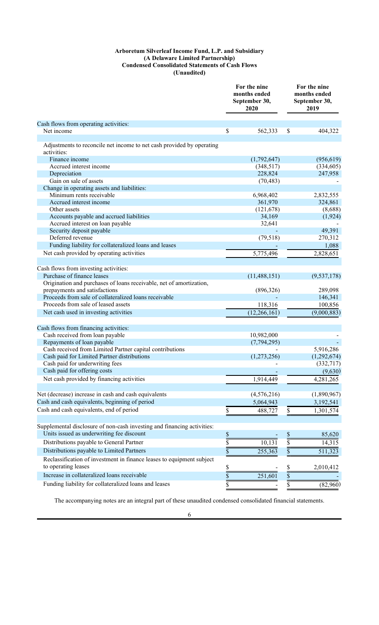# **Arboretum Silverleaf Income Fund, L.P. and Subsidiary (A Delaware Limited Partnership) Condensed Consolidated Statements of Cash Flows (Unaudited)**

|                                                                                                   |                                          | For the nine<br>months ended<br>September 30,<br>2020 | For the nine<br>months ended<br>September 30,<br>2019 |             |  |
|---------------------------------------------------------------------------------------------------|------------------------------------------|-------------------------------------------------------|-------------------------------------------------------|-------------|--|
| Cash flows from operating activities:                                                             |                                          |                                                       |                                                       |             |  |
| Net income                                                                                        | \$                                       | 562,333                                               | \$                                                    | 404,322     |  |
| Adjustments to reconcile net income to net cash provided by operating                             |                                          |                                                       |                                                       |             |  |
| activities:                                                                                       |                                          |                                                       |                                                       |             |  |
| Finance income                                                                                    |                                          | (1,792,647)                                           |                                                       | (956, 619)  |  |
| Accrued interest income                                                                           |                                          | (348, 517)                                            |                                                       | (334, 605)  |  |
| Depreciation                                                                                      |                                          | 228,824                                               |                                                       | 247,958     |  |
| Gain on sale of assets                                                                            |                                          | (70, 483)                                             |                                                       |             |  |
| Change in operating assets and liabilities:                                                       |                                          |                                                       |                                                       |             |  |
| Minimum rents receivable                                                                          |                                          | 6,968,402                                             |                                                       | 2,832,555   |  |
| Accrued interest income                                                                           |                                          | 361,970                                               |                                                       | 324,861     |  |
| Other assets                                                                                      |                                          | (121, 678)                                            |                                                       | (8,688)     |  |
| Accounts payable and accrued liabilities                                                          |                                          | 34,169                                                |                                                       | (1, 924)    |  |
| Accrued interest on loan payable                                                                  |                                          | 32,641                                                |                                                       |             |  |
| Security deposit payable<br>Deferred revenue                                                      |                                          |                                                       |                                                       | 49,391      |  |
| Funding liability for collateralized loans and leases                                             |                                          | (79, 518)                                             |                                                       | 270,312     |  |
|                                                                                                   |                                          |                                                       |                                                       | 1,088       |  |
| Net cash provided by operating activities                                                         |                                          | 5,775,496                                             |                                                       | 2,828,651   |  |
|                                                                                                   |                                          |                                                       |                                                       |             |  |
| Cash flows from investing activities:                                                             |                                          |                                                       |                                                       |             |  |
| Purchase of finance leases<br>Origination and purchases of loans receivable, net of amortization, |                                          | (11, 488, 151)                                        |                                                       | (9,537,178) |  |
| prepayments and satisfactions                                                                     |                                          | (896, 326)                                            |                                                       | 289,098     |  |
| Proceeds from sale of collateralized loans receivable                                             |                                          |                                                       |                                                       | 146,341     |  |
| Proceeds from sale of leased assets                                                               |                                          | 118,316                                               |                                                       | 100,856     |  |
| Net cash used in investing activities                                                             |                                          | (12,266,161)                                          |                                                       | (9,000,883) |  |
|                                                                                                   |                                          |                                                       |                                                       |             |  |
| Cash flows from financing activities:                                                             |                                          |                                                       |                                                       |             |  |
| Cash received from loan payable                                                                   |                                          | 10,982,000                                            |                                                       |             |  |
| Repayments of loan payable                                                                        |                                          | (7, 794, 295)                                         |                                                       |             |  |
| Cash received from Limited Partner capital contributions                                          |                                          |                                                       |                                                       | 5,916,286   |  |
| Cash paid for Limited Partner distributions                                                       |                                          | (1,273,256)                                           |                                                       | (1,292,674) |  |
| Cash paid for underwriting fees                                                                   |                                          |                                                       |                                                       | (332,717)   |  |
| Cash paid for offering costs                                                                      |                                          |                                                       |                                                       | (9,630)     |  |
| Net cash provided by financing activities                                                         |                                          | 1,914,449                                             |                                                       | 4,281,265   |  |
|                                                                                                   |                                          |                                                       |                                                       |             |  |
| Net (decrease) increase in cash and cash equivalents                                              |                                          | (4, 576, 216)                                         |                                                       | (1,890,967) |  |
| Cash and cash equivalents, beginning of period                                                    |                                          | 5,064,943                                             |                                                       | 3,192,541   |  |
| Cash and cash equivalents, end of period                                                          | \$                                       | 488,727                                               | \$                                                    | 1,301,574   |  |
|                                                                                                   |                                          |                                                       |                                                       |             |  |
| Supplemental disclosure of non-cash investing and financing activities:                           |                                          |                                                       |                                                       |             |  |
| Units issued as underwriting fee discount                                                         | $\$$                                     |                                                       | \$                                                    | 85,620      |  |
| Distributions payable to General Partner                                                          | \$                                       | 10,131                                                | \$                                                    | 14,315      |  |
| Distributions payable to Limited Partners                                                         | $\bar{s}$                                | 255,363                                               | $\overline{\$}$                                       | 511,323     |  |
| Reclassification of investment in finance leases to equipment subject                             |                                          |                                                       |                                                       |             |  |
| to operating leases                                                                               |                                          |                                                       |                                                       |             |  |
| Increase in collateralized loans receivable                                                       | \$<br>$\overline{\overline{\mathbb{S}}}$ |                                                       | \$                                                    | 2,010,412   |  |
|                                                                                                   |                                          | 251,601                                               | $\overline{\$}$                                       |             |  |
| Funding liability for collateralized loans and leases                                             | \$                                       |                                                       | $\overline{s}$                                        | (82,960)    |  |

The accompanying notes are an integral part of these unaudited condensed consolidated financial statements.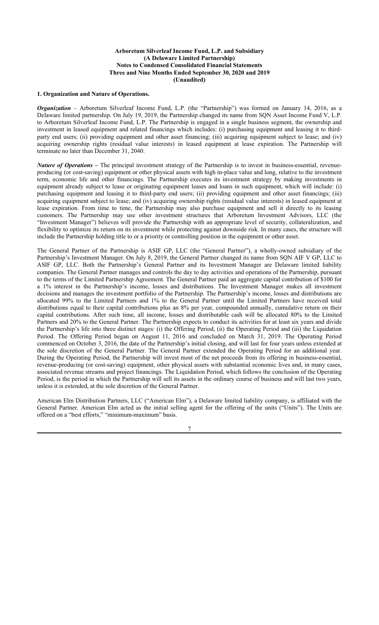## **Arboretum Silverleaf Income Fund, L.P. and Subsidiary (A Delaware Limited Partnership) Notes to Condensed Consolidated Financial Statements Three and Nine Months Ended September 30, 2020 and 2019 (Unaudited)**

# **1. Organization and Nature of Operations.**

*Organization* – Arboretum Silverleaf Income Fund, L.P. (the "Partnership") was formed on January 14, 2016, as a Delaware limited partnership. On July 19, 2019, the Partnership changed its name from SQN Asset Income Fund V, L.P. to Arboretum Silverleaf Income Fund, L.P. The Partnership is engaged in a single business segment, the ownership and investment in leased equipment and related financings which includes: (i) purchasing equipment and leasing it to thirdparty end users; (ii) providing equipment and other asset financing; (iii) acquiring equipment subject to lease; and (iv) acquiring ownership rights (residual value interests) in leased equipment at lease expiration. The Partnership will terminate no later than December 31, 2040.

*Nature of Operations –* The principal investment strategy of the Partnership is to invest in business-essential, revenueproducing (or cost-saving) equipment or other physical assets with high in-place value and long, relative to the investment term, economic life and other financings. The Partnership executes its investment strategy by making investments in equipment already subject to lease or originating equipment leases and loans in such equipment, which will include: (i) purchasing equipment and leasing it to third-party end users; (ii) providing equipment and other asset financings; (iii) acquiring equipment subject to lease; and (iv) acquiring ownership rights (residual value interests) in leased equipment at lease expiration. From time to time, the Partnership may also purchase equipment and sell it directly to its leasing customers. The Partnership may use other investment structures that Arboretum Investment Advisors, LLC (the "Investment Manager") believes will provide the Partnership with an appropriate level of security, collateralization, and flexibility to optimize its return on its investment while protecting against downside risk. In many cases, the structure will include the Partnership holding title to or a priority or controlling position in the equipment or other asset.

The General Partner of the Partnership is ASIF GP, LLC (the "General Partner"), a wholly-owned subsidiary of the Partnership's Investment Manager. On July 8, 2019, the General Partner changed its name from SQN AIF V GP, LLC to ASIF GP, LLC. Both the Partnership's General Partner and its Investment Manager are Delaware limited liability companies. The General Partner manages and controls the day to day activities and operations of the Partnership, pursuant to the terms of the Limited Partnership Agreement. The General Partner paid an aggregate capital contribution of \$100 for a 1% interest in the Partnership's income, losses and distributions. The Investment Manager makes all investment decisions and manages the investment portfolio of the Partnership. The Partnership's income, losses and distributions are allocated 99% to the Limited Partners and 1% to the General Partner until the Limited Partners have received total distributions equal to their capital contributions plus an 8% per year, compounded annually, cumulative return on their capital contributions. After such time, all income, losses and distributable cash will be allocated 80% to the Limited Partners and 20% to the General Partner. The Partnership expects to conduct its activities for at least six years and divide the Partnership's life into three distinct stages: (i) the Offering Period, (ii) the Operating Period and (iii) the Liquidation Period. The Offering Period began on August 11, 2016 and concluded on March 31, 2019. The Operating Period commenced on October 3, 2016, the date of the Partnership's initial closing, and will last for four years unless extended at the sole discretion of the General Partner. The General Partner extended the Operating Period for an additional year. During the Operating Period, the Partnership will invest most of the net proceeds from its offering in business-essential, revenue-producing (or cost-saving) equipment, other physical assets with substantial economic lives and, in many cases, associated revenue streams and project financings. The Liquidation Period, which follows the conclusion of the Operating Period, is the period in which the Partnership will sell its assets in the ordinary course of business and will last two years, unless it is extended, at the sole discretion of the General Partner.

American Elm Distribution Partners, LLC ("American Elm"), a Delaware limited liability company, is affiliated with the General Partner. American Elm acted as the initial selling agent for the offering of the units ("Units"). The Units are offered on a "best efforts," "minimum-maximum" basis.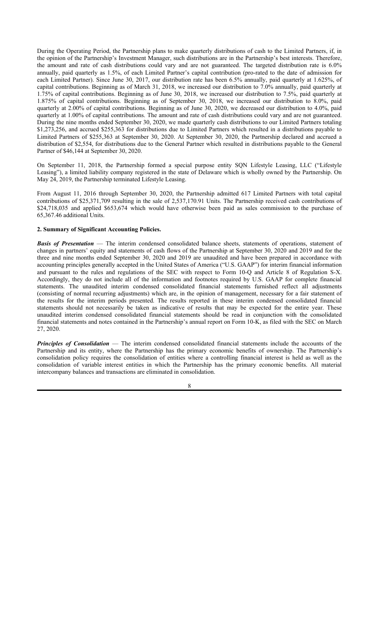During the Operating Period, the Partnership plans to make quarterly distributions of cash to the Limited Partners, if, in the opinion of the Partnership's Investment Manager, such distributions are in the Partnership's best interests. Therefore, the amount and rate of cash distributions could vary and are not guaranteed. The targeted distribution rate is 6.0% annually, paid quarterly as 1.5%, of each Limited Partner's capital contribution (pro-rated to the date of admission for each Limited Partner). Since June 30, 2017, our distribution rate has been 6.5% annually, paid quarterly at 1.625%, of capital contributions. Beginning as of March 31, 2018, we increased our distribution to 7.0% annually, paid quarterly at 1.75% of capital contributions. Beginning as of June 30, 2018, we increased our distribution to 7.5%, paid quarterly at 1.875% of capital contributions. Beginning as of September 30, 2018, we increased our distribution to 8.0%, paid quarterly at 2.00% of capital contributions. Beginning as of June 30, 2020, we decreased our distribution to 4.0%, paid quarterly at 1.00% of capital contributions. The amount and rate of cash distributions could vary and are not guaranteed. During the nine months ended September 30, 2020, we made quarterly cash distributions to our Limited Partners totaling \$1,273,256, and accrued \$255,363 for distributions due to Limited Partners which resulted in a distributions payable to Limited Partners of \$255,363 at September 30, 2020. At September 30, 2020, the Partnership declared and accrued a distribution of \$2,554, for distributions due to the General Partner which resulted in distributions payable to the General Partner of \$46,144 at September 30, 2020.

On September 11, 2018, the Partnership formed a special purpose entity SQN Lifestyle Leasing, LLC ("Lifestyle Leasing"), a limited liability company registered in the state of Delaware which is wholly owned by the Partnership. On May 24, 2019, the Partnership terminated Lifestyle Leasing.

From August 11, 2016 through September 30, 2020, the Partnership admitted 617 Limited Partners with total capital contributions of \$25,371,709 resulting in the sale of 2,537,170.91 Units. The Partnership received cash contributions of \$24,718,035 and applied \$653,674 which would have otherwise been paid as sales commission to the purchase of 65,367.46 additional Units.

## **2. Summary of Significant Accounting Policies.**

*Basis of Presentation* — The interim condensed consolidated balance sheets, statements of operations, statement of changes in partners' equity and statements of cash flows of the Partnership at September 30, 2020 and 2019 and for the three and nine months ended September 30, 2020 and 2019 are unaudited and have been prepared in accordance with accounting principles generally accepted in the United States of America ("U.S. GAAP") for interim financial information and pursuant to the rules and regulations of the SEC with respect to Form 10-Q and Article 8 of Regulation S-X. Accordingly, they do not include all of the information and footnotes required by U.S. GAAP for complete financial statements. The unaudited interim condensed consolidated financial statements furnished reflect all adjustments (consisting of normal recurring adjustments) which are, in the opinion of management, necessary for a fair statement of the results for the interim periods presented. The results reported in these interim condensed consolidated financial statements should not necessarily be taken as indicative of results that may be expected for the entire year. These unaudited interim condensed consolidated financial statements should be read in conjunction with the consolidated financial statements and notes contained in the Partnership's annual report on Form 10-K, as filed with the SEC on March 27, 2020.

*Principles of Consolidation* — The interim condensed consolidated financial statements include the accounts of the Partnership and its entity, where the Partnership has the primary economic benefits of ownership. The Partnership's consolidation policy requires the consolidation of entities where a controlling financial interest is held as well as the consolidation of variable interest entities in which the Partnership has the primary economic benefits. All material intercompany balances and transactions are eliminated in consolidation.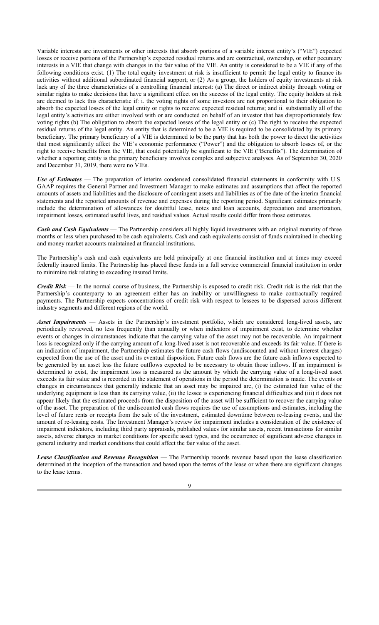Variable interests are investments or other interests that absorb portions of a variable interest entity's ("VIE") expected losses or receive portions of the Partnership's expected residual returns and are contractual, ownership, or other pecuniary interests in a VIE that change with changes in the fair value of the VIE. An entity is considered to be a VIE if any of the following conditions exist. (1) The total equity investment at risk is insufficient to permit the legal entity to finance its activities without additional subordinated financial support; or (2) As a group, the holders of equity investments at risk lack any of the three characteristics of a controlling financial interest: (a) The direct or indirect ability through voting or similar rights to make decisions that have a significant effect on the success of the legal entity. The equity holders at risk are deemed to lack this characteristic if: i. the voting rights of some investors are not proportional to their obligation to absorb the expected losses of the legal entity or rights to receive expected residual returns; and ii. substantially all of the legal entity's activities are either involved with or are conducted on behalf of an investor that has disproportionately few voting rights (b) The obligation to absorb the expected losses of the legal entity or (c) The right to receive the expected residual returns of the legal entity. An entity that is determined to be a VIE is required to be consolidated by its primary beneficiary. The primary beneficiary of a VIE is determined to be the party that has both the power to direct the activities that most significantly affect the VIE's economic performance ("Power") and the obligation to absorb losses of, or the right to receive benefits from the VIE, that could potentially be significant to the VIE ("Benefits"). The determination of whether a reporting entity is the primary beneficiary involves complex and subjective analyses. As of September 30, 2020 and December 31, 2019, there were no VIEs.

*Use of Estimates* — The preparation of interim condensed consolidated financial statements in conformity with U.S. GAAP requires the General Partner and Investment Manager to make estimates and assumptions that affect the reported amounts of assets and liabilities and the disclosure of contingent assets and liabilities as of the date of the interim financial statements and the reported amounts of revenue and expenses during the reporting period. Significant estimates primarily include the determination of allowances for doubtful lease, notes and loan accounts, depreciation and amortization, impairment losses, estimated useful lives, and residual values. Actual results could differ from those estimates.

*Cash and Cash Equivalents* — The Partnership considers all highly liquid investments with an original maturity of three months or less when purchased to be cash equivalents. Cash and cash equivalents consist of funds maintained in checking and money market accounts maintained at financial institutions.

The Partnership's cash and cash equivalents are held principally at one financial institution and at times may exceed federally insured limits. The Partnership has placed these funds in a full service commercial financial institution in order to minimize risk relating to exceeding insured limits.

*Credit Risk* — In the normal course of business, the Partnership is exposed to credit risk. Credit risk is the risk that the Partnership's counterparty to an agreement either has an inability or unwillingness to make contractually required payments. The Partnership expects concentrations of credit risk with respect to lessees to be dispersed across different industry segments and different regions of the world.

*Asset Impairments* — Assets in the Partnership's investment portfolio, which are considered long-lived assets, are periodically reviewed, no less frequently than annually or when indicators of impairment exist, to determine whether events or changes in circumstances indicate that the carrying value of the asset may not be recoverable. An impairment loss is recognized only if the carrying amount of a long-lived asset is not recoverable and exceeds its fair value. If there is an indication of impairment, the Partnership estimates the future cash flows (undiscounted and without interest charges) expected from the use of the asset and its eventual disposition. Future cash flows are the future cash inflows expected to be generated by an asset less the future outflows expected to be necessary to obtain those inflows. If an impairment is determined to exist, the impairment loss is measured as the amount by which the carrying value of a long-lived asset exceeds its fair value and is recorded in the statement of operations in the period the determination is made. The events or changes in circumstances that generally indicate that an asset may be impaired are, (i) the estimated fair value of the underlying equipment is less than its carrying value, (ii) the lessee is experiencing financial difficulties and (iii) it does not appear likely that the estimated proceeds from the disposition of the asset will be sufficient to recover the carrying value of the asset. The preparation of the undiscounted cash flows requires the use of assumptions and estimates, including the level of future rents or receipts from the sale of the investment, estimated downtime between re-leasing events, and the amount of re-leasing costs. The Investment Manager's review for impairment includes a consideration of the existence of impairment indicators, including third party appraisals, published values for similar assets, recent transactions for similar assets, adverse changes in market conditions for specific asset types, and the occurrence of significant adverse changes in general industry and market conditions that could affect the fair value of the asset.

*Lease Classification and Revenue Recognition* — The Partnership records revenue based upon the lease classification determined at the inception of the transaction and based upon the terms of the lease or when there are significant changes to the lease terms.

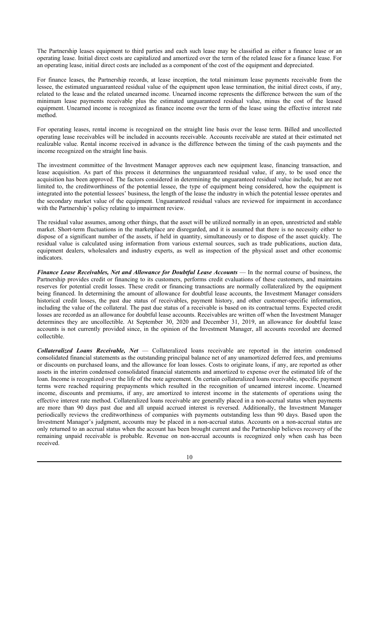The Partnership leases equipment to third parties and each such lease may be classified as either a finance lease or an operating lease. Initial direct costs are capitalized and amortized over the term of the related lease for a finance lease. For an operating lease, initial direct costs are included as a component of the cost of the equipment and depreciated.

For finance leases, the Partnership records, at lease inception, the total minimum lease payments receivable from the lessee, the estimated unguaranteed residual value of the equipment upon lease termination, the initial direct costs, if any, related to the lease and the related unearned income. Unearned income represents the difference between the sum of the minimum lease payments receivable plus the estimated unguaranteed residual value, minus the cost of the leased equipment. Unearned income is recognized as finance income over the term of the lease using the effective interest rate method.

For operating leases, rental income is recognized on the straight line basis over the lease term. Billed and uncollected operating lease receivables will be included in accounts receivable. Accounts receivable are stated at their estimated net realizable value. Rental income received in advance is the difference between the timing of the cash payments and the income recognized on the straight line basis.

The investment committee of the Investment Manager approves each new equipment lease, financing transaction, and lease acquisition. As part of this process it determines the unguaranteed residual value, if any, to be used once the acquisition has been approved. The factors considered in determining the unguaranteed residual value include, but are not limited to, the creditworthiness of the potential lessee, the type of equipment being considered, how the equipment is integrated into the potential lessees' business, the length of the lease the industry in which the potential lessee operates and the secondary market value of the equipment. Unguaranteed residual values are reviewed for impairment in accordance with the Partnership's policy relating to impairment review.

The residual value assumes, among other things, that the asset will be utilized normally in an open, unrestricted and stable market. Short-term fluctuations in the marketplace are disregarded, and it is assumed that there is no necessity either to dispose of a significant number of the assets, if held in quantity, simultaneously or to dispose of the asset quickly. The residual value is calculated using information from various external sources, such as trade publications, auction data, equipment dealers, wholesalers and industry experts, as well as inspection of the physical asset and other economic indicators.

*Finance Lease Receivables, Net and Allowance for Doubtful Lease Accounts* — In the normal course of business, the Partnership provides credit or financing to its customers, performs credit evaluations of these customers, and maintains reserves for potential credit losses. These credit or financing transactions are normally collateralized by the equipment being financed. In determining the amount of allowance for doubtful lease accounts, the Investment Manager considers historical credit losses, the past due status of receivables, payment history, and other customer-specific information, including the value of the collateral. The past due status of a receivable is based on its contractual terms. Expected credit losses are recorded as an allowance for doubtful lease accounts. Receivables are written off when the Investment Manager determines they are uncollectible. At September 30, 2020 and December 31, 2019, an allowance for doubtful lease accounts is not currently provided since, in the opinion of the Investment Manager, all accounts recorded are deemed collectible.

*Collateralized Loans Receivable, Net* — Collateralized loans receivable are reported in the interim condensed consolidated financial statements as the outstanding principal balance net of any unamortized deferred fees, and premiums or discounts on purchased loans, and the allowance for loan losses. Costs to originate loans, if any, are reported as other assets in the interim condensed consolidated financial statements and amortized to expense over the estimated life of the loan. Income is recognized over the life of the note agreement. On certain collateralized loans receivable, specific payment terms were reached requiring prepayments which resulted in the recognition of unearned interest income. Unearned income, discounts and premiums, if any, are amortized to interest income in the statements of operations using the effective interest rate method. Collateralized loans receivable are generally placed in a non-accrual status when payments are more than 90 days past due and all unpaid accrued interest is reversed. Additionally, the Investment Manager periodically reviews the creditworthiness of companies with payments outstanding less than 90 days. Based upon the Investment Manager's judgment, accounts may be placed in a non-accrual status. Accounts on a non-accrual status are only returned to an accrual status when the account has been brought current and the Partnership believes recovery of the remaining unpaid receivable is probable. Revenue on non-accrual accounts is recognized only when cash has been received.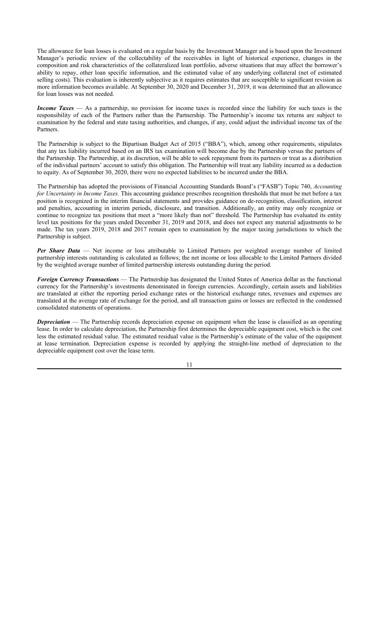The allowance for loan losses is evaluated on a regular basis by the Investment Manager and is based upon the Investment Manager's periodic review of the collectability of the receivables in light of historical experience, changes in the composition and risk characteristics of the collateralized loan portfolio, adverse situations that may affect the borrower's ability to repay, other loan specific information, and the estimated value of any underlying collateral (net of estimated selling costs). This evaluation is inherently subjective as it requires estimates that are susceptible to significant revision as more information becomes available. At September 30, 2020 and December 31, 2019, it was determined that an allowance for loan losses was not needed.

*Income Taxes* — As a partnership, no provision for income taxes is recorded since the liability for such taxes is the responsibility of each of the Partners rather than the Partnership. The Partnership's income tax returns are subject to examination by the federal and state taxing authorities, and changes, if any, could adjust the individual income tax of the Partners.

The Partnership is subject to the Bipartisan Budget Act of 2015 ("BBA"), which, among other requirements, stipulates that any tax liability incurred based on an IRS tax examination will become due by the Partnership versus the partners of the Partnership. The Partnership, at its discretion, will be able to seek repayment from its partners or treat as a distribution of the individual partners' account to satisfy this obligation. The Partnership will treat any liability incurred as a deduction to equity. As of September 30, 2020, there were no expected liabilities to be incurred under the BBA.

The Partnership has adopted the provisions of Financial Accounting Standards Board's ("FASB") Topic 740, *Accounting for Uncertainty in Income Taxes.* This accounting guidance prescribes recognition thresholds that must be met before a tax position is recognized in the interim financial statements and provides guidance on de-recognition, classification, interest and penalties, accounting in interim periods, disclosure, and transition. Additionally, an entity may only recognize or continue to recognize tax positions that meet a "more likely than not" threshold. The Partnership has evaluated its entity level tax positions for the years ended December 31, 2019 and 2018, and does not expect any material adjustments to be made. The tax years 2019, 2018 and 2017 remain open to examination by the major taxing jurisdictions to which the Partnership is subject.

*Per Share Data* — Net income or loss attributable to Limited Partners per weighted average number of limited partnership interests outstanding is calculated as follows; the net income or loss allocable to the Limited Partners divided by the weighted average number of limited partnership interests outstanding during the period.

*Foreign Currency Transactions* — The Partnership has designated the United States of America dollar as the functional currency for the Partnership's investments denominated in foreign currencies. Accordingly, certain assets and liabilities are translated at either the reporting period exchange rates or the historical exchange rates, revenues and expenses are translated at the average rate of exchange for the period, and all transaction gains or losses are reflected in the condensed consolidated statements of operations.

*Depreciation* — The Partnership records depreciation expense on equipment when the lease is classified as an operating lease. In order to calculate depreciation, the Partnership first determines the depreciable equipment cost, which is the cost less the estimated residual value. The estimated residual value is the Partnership's estimate of the value of the equipment at lease termination. Depreciation expense is recorded by applying the straight-line method of depreciation to the depreciable equipment cost over the lease term.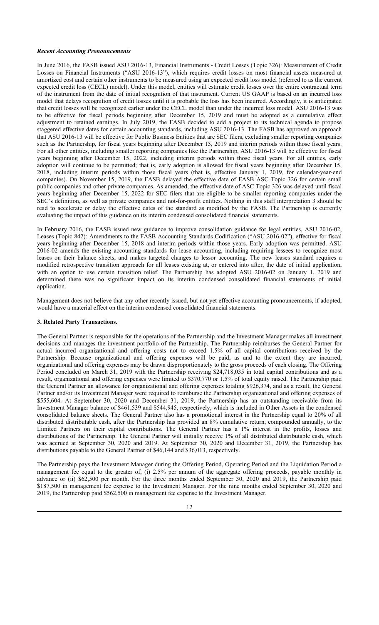#### *Recent Accounting Pronouncements*

In June 2016, the FASB issued ASU 2016-13, Financial Instruments - Credit Losses (Topic 326): Measurement of Credit Losses on Financial Instruments ("ASU 2016-13"), which requires credit losses on most financial assets measured at amortized cost and certain other instruments to be measured using an expected credit loss model (referred to as the current expected credit loss (CECL) model). Under this model, entities will estimate credit losses over the entire contractual term of the instrument from the date of initial recognition of that instrument. Current US GAAP is based on an incurred loss model that delays recognition of credit losses until it is probable the loss has been incurred. Accordingly, it is anticipated that credit losses will be recognized earlier under the CECL model than under the incurred loss model. ASU 2016-13 was to be effective for fiscal periods beginning after December 15, 2019 and must be adopted as a cumulative effect adjustment to retained earnings. In July 2019, the FASB decided to add a project to its technical agenda to propose staggered effective dates for certain accounting standards, including ASU 2016-13. The FASB has approved an approach that ASU 2016-13 will be effective for Public Business Entities that are SEC filers, excluding smaller reporting companies such as the Partnership, for fiscal years beginning after December 15, 2019 and interim periods within those fiscal years. For all other entities, including smaller reporting companies like the Partnership, ASU 2016-13 will be effective for fiscal years beginning after December 15, 2022, including interim periods within those fiscal years. For all entities, early adoption will continue to be permitted; that is, early adoption is allowed for fiscal years beginning after December 15, 2018, including interim periods within those fiscal years (that is, effective January 1, 2019, for calendar-year-end companies). On November 15, 2019, the FASB delayed the effective date of FASB ASC Topic 326 for certain small public companies and other private companies. As amended, the effective date of ASC Topic 326 was delayed until fiscal years beginning after December 15, 2022 for SEC filers that are eligible to be smaller reporting companies under the SEC's definition, as well as private companies and not-for-profit entities. Nothing in this staff interpretation 3 should be read to accelerate or delay the effective dates of the standard as modified by the FASB. The Partnership is currently evaluating the impact of this guidance on its interim condensed consolidated financial statements.

In February 2016, the FASB issued new guidance to improve consolidation guidance for legal entities, ASU 2016-02, Leases (Topic 842): Amendments to the FASB Accounting Standards Codification ("ASU 2016-02"), effective for fiscal years beginning after December 15, 2018 and interim periods within those years. Early adoption was permitted. ASU 2016-02 amends the existing accounting standards for lease accounting, including requiring lessees to recognize most leases on their balance sheets, and makes targeted changes to lessor accounting. The new leases standard requires a modified retrospective transition approach for all leases existing at, or entered into after, the date of initial application, with an option to use certain transition relief. The Partnership has adopted ASU 2016-02 on January 1, 2019 and determined there was no significant impact on its interim condensed consolidated financial statements of initial application.

Management does not believe that any other recently issued, but not yet effective accounting pronouncements, if adopted, would have a material effect on the interim condensed consolidated financial statements.

#### **3. Related Party Transactions.**

The General Partner is responsible for the operations of the Partnership and the Investment Manager makes all investment decisions and manages the investment portfolio of the Partnership. The Partnership reimburses the General Partner for actual incurred organizational and offering costs not to exceed 1.5% of all capital contributions received by the Partnership. Because organizational and offering expenses will be paid, as and to the extent they are incurred, organizational and offering expenses may be drawn disproportionately to the gross proceeds of each closing. The Offering Period concluded on March 31, 2019 with the Partnership receiving \$24,718,035 in total capital contributions and as a result, organizational and offering expenses were limited to \$370,770 or 1.5% of total equity raised. The Partnership paid the General Partner an allowance for organizational and offering expenses totaling \$926,374, and as a result, the General Partner and/or its Investment Manager were required to reimburse the Partnership organizational and offering expenses of \$555,604. At September 30, 2020 and December 31, 2019, the Partnership has an outstanding receivable from its Investment Manager balance of \$461,539 and \$544,945, respectively, which is included in Other Assets in the condensed consolidated balance sheets. The General Partner also has a promotional interest in the Partnership equal to 20% of all distributed distributable cash, after the Partnership has provided an 8% cumulative return, compounded annually, to the Limited Partners on their capital contributions. The General Partner has a 1% interest in the profits, losses and distributions of the Partnership. The General Partner will initially receive 1% of all distributed distributable cash, which was accrued at September 30, 2020 and 2019. At September 30, 2020 and December 31, 2019, the Partnership has distributions payable to the General Partner of \$46,144 and \$36,013, respectively.

The Partnership pays the Investment Manager during the Offering Period, Operating Period and the Liquidation Period a management fee equal to the greater of, (i) 2.5% per annum of the aggregate offering proceeds, payable monthly in advance or (ii) \$62,500 per month. For the three months ended September 30, 2020 and 2019, the Partnership paid \$187,500 in management fee expense to the Investment Manager. For the nine months ended September 30, 2020 and 2019, the Partnership paid \$562,500 in management fee expense to the Investment Manager.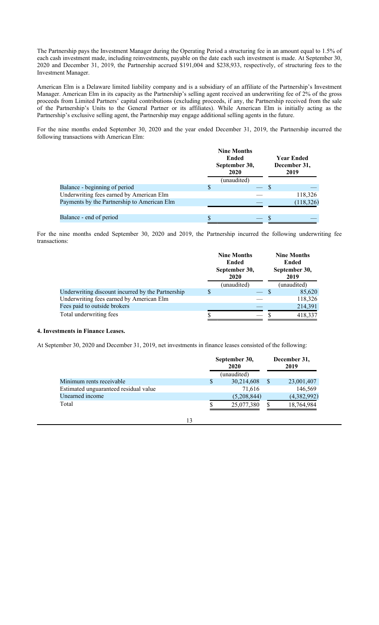The Partnership pays the Investment Manager during the Operating Period a structuring fee in an amount equal to 1.5% of each cash investment made, including reinvestments, payable on the date each such investment is made. At September 30, 2020 and December 31, 2019, the Partnership accrued \$191,004 and \$238,933, respectively, of structuring fees to the Investment Manager.

American Elm is a Delaware limited liability company and is a subsidiary of an affiliate of the Partnership's Investment Manager. American Elm in its capacity as the Partnership's selling agent received an underwriting fee of 2% of the gross proceeds from Limited Partners' capital contributions (excluding proceeds, if any, the Partnership received from the sale of the Partnership's Units to the General Partner or its affiliates). While American Elm is initially acting as the Partnership's exclusive selling agent, the Partnership may engage additional selling agents in the future.

For the nine months ended September 30, 2020 and the year ended December 31, 2019, the Partnership incurred the following transactions with American Elm:

|                                             | <b>Nine Months</b><br>Ended<br>September 30,<br>2020<br>(unaudited) |    | <b>Year Ended</b><br>December 31,<br>2019 |  |  |
|---------------------------------------------|---------------------------------------------------------------------|----|-------------------------------------------|--|--|
| Balance - beginning of period               |                                                                     | -S |                                           |  |  |
| Underwriting fees earned by American Elm    |                                                                     |    | 118,326                                   |  |  |
| Payments by the Partnership to American Elm |                                                                     |    | (118, 326)                                |  |  |
|                                             |                                                                     |    |                                           |  |  |
| Balance - end of period                     |                                                                     |    |                                           |  |  |

For the nine months ended September 30, 2020 and 2019, the Partnership incurred the following underwriting fee transactions:

|                                                   |   | <b>Nine Months</b><br>Ended<br>September 30,<br>2020 |  | <b>Nine Months</b><br>Ended<br>September 30,<br>2019 |             |
|---------------------------------------------------|---|------------------------------------------------------|--|------------------------------------------------------|-------------|
|                                                   |   | (unaudited)                                          |  |                                                      | (unaudited) |
| Underwriting discount incurred by the Partnership | S |                                                      |  |                                                      | 85,620      |
| Underwriting fees earned by American Elm          |   |                                                      |  |                                                      | 118,326     |
| Fees paid to outside brokers                      |   |                                                      |  |                                                      | 214,391     |
| Total underwriting fees                           |   |                                                      |  |                                                      | 418,337     |

### **4. Investments in Finance Leases.**

At September 30, 2020 and December 31, 2019, net investments in finance leases consisted of the following:

|                                       | September 30,<br>2020 |             |   | December 31,<br>2019 |
|---------------------------------------|-----------------------|-------------|---|----------------------|
|                                       |                       | (unaudited) |   |                      |
| Minimum rents receivable              | S                     | 30,214,608  |   | 23,001,407           |
| Estimated unguaranteed residual value |                       | 71.616      |   | 146,569              |
| Unearned income                       |                       | (5,208,844) |   | (4,382,992)          |
| Total                                 |                       | 25,077,380  | S | 18,764,984           |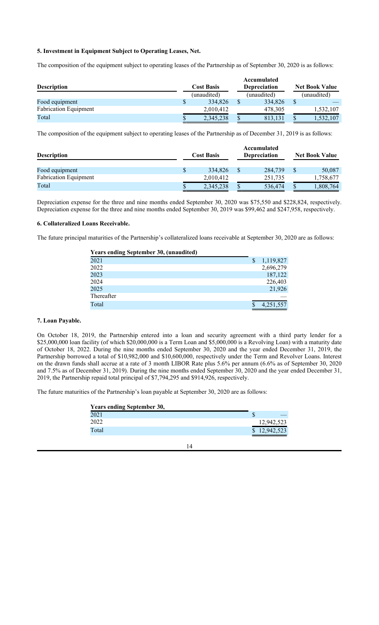# **5. Investment in Equipment Subject to Operating Leases, Net.**

The composition of the equipment subject to operating leases of the Partnership as of September 30, 2020 is as follows:

| <b>Description</b>           |               | <b>Cost Basis</b> |    | Accumulated<br><b>Depreciation</b> | <b>Net Book Value</b> |             |  |
|------------------------------|---------------|-------------------|----|------------------------------------|-----------------------|-------------|--|
|                              |               | (unaudited)       |    | (unaudited)                        |                       | (unaudited) |  |
| Food equipment               | <sup>\$</sup> | 334,826           |    | 334,826                            |                       |             |  |
| <b>Fabrication Equipment</b> |               | 2,010,412         |    | 478.305                            |                       | 1,532,107   |  |
| Total                        |               | 2,345,238         | \$ | 813,131                            |                       | 1,532,107   |  |

The composition of the equipment subject to operating leases of the Partnership as of December 31, 2019 is as follows:

| <b>Description</b>           | <b>Cost Basis</b> |           | Accumulated<br><b>Depreciation</b> |         |  | <b>Net Book Value</b> |  |  |
|------------------------------|-------------------|-----------|------------------------------------|---------|--|-----------------------|--|--|
| Food equipment               | \$.               | 334,826   |                                    | 284.739 |  | 50,087                |  |  |
| <b>Fabrication Equipment</b> |                   | 2,010,412 |                                    | 251.735 |  | 1,758,677             |  |  |
| Total                        |                   | 2,345,238 |                                    | 536,474 |  | 1,808,764             |  |  |

Depreciation expense for the three and nine months ended September 30, 2020 was \$75,550 and \$228,824, respectively. Depreciation expense for the three and nine months ended September 30, 2019 was \$99,462 and \$247,958, respectively.

# **6. Collateralized Loans Receivable.**

The future principal maturities of the Partnership's collateralized loans receivable at September 30, 2020 are as follows:

| <b>Years ending September 30, (unaudited)</b> |           |
|-----------------------------------------------|-----------|
| 2021                                          | 1,119,827 |
| 2022                                          | 2,696,279 |
| 2023                                          | 187,122   |
| 2024                                          | 226,403   |
| 2025                                          | 21,926    |
| Thereafter                                    |           |
| Total                                         | 4,251,557 |

# **7. Loan Payable.**

On October 18, 2019, the Partnership entered into a loan and security agreement with a third party lender for a  $$25,000,000$  loan facility (of which  $$20,000,000$  is a Term Loan and  $$5,000,000$  is a Revolving Loan) with a maturity date of October 18, 2022. During the nine months ended September 30, 2020 and the year ended December 31, 2019, the Partnership borrowed a total of \$10,982,000 and \$10,600,000, respectively under the Term and Revolver Loans. Interest on the drawn funds shall accrue at a rate of 3 month LIBOR Rate plus 5.6% per annum (6.6% as of September 30, 2020 and 7.5% as of December 31, 2019). During the nine months ended September 30, 2020 and the year ended December 31, 2019, the Partnership repaid total principal of \$7,794,295 and \$914,926, respectively.

The future maturities of the Partnership's loan payable at September 30, 2020 are as follows:

| <b>Years ending September 30,</b> |              |
|-----------------------------------|--------------|
| 2021                              |              |
| 2022                              | 12,942,523   |
| Total                             | \$12,942,523 |
|                                   |              |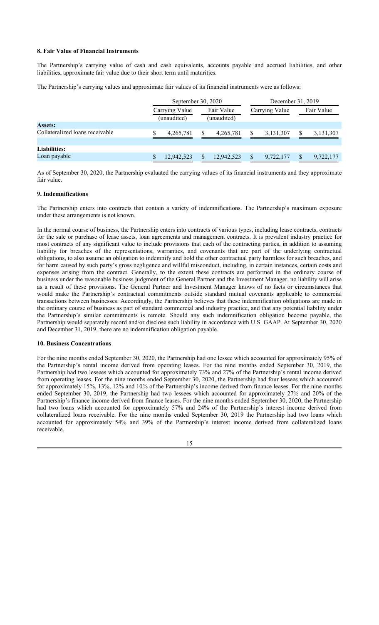#### **8. Fair Value of Financial Instruments**

The Partnership's carrying value of cash and cash equivalents, accounts payable and accrued liabilities, and other liabilities, approximate fair value due to their short term until maturities.

The Partnership's carrying values and approximate fair values of its financial instruments were as follows:

|                                 | September 30, 2020 |                               |  | December 31, 2019         |  |                |   |            |
|---------------------------------|--------------------|-------------------------------|--|---------------------------|--|----------------|---|------------|
|                                 |                    | Carrying Value<br>(unaudited) |  | Fair Value<br>(unaudited) |  | Carrying Value |   | Fair Value |
| <b>Assets:</b>                  |                    |                               |  |                           |  |                |   |            |
| Collateralized loans receivable |                    | 4,265,781                     |  | 4,265,781                 |  | 3,131,307      | S | 3,131,307  |
| Liabilities:                    |                    |                               |  |                           |  |                |   |            |
| Loan payable                    |                    | 12,942,523                    |  | 12,942,523                |  | 9,722,177      |   | 9,722,177  |

As of September 30, 2020, the Partnership evaluated the carrying values of its financial instruments and they approximate fair value.

#### **9. Indemnifications**

The Partnership enters into contracts that contain a variety of indemnifications. The Partnership's maximum exposure under these arrangements is not known.

In the normal course of business, the Partnership enters into contracts of various types, including lease contracts, contracts for the sale or purchase of lease assets, loan agreements and management contracts. It is prevalent industry practice for most contracts of any significant value to include provisions that each of the contracting parties, in addition to assuming liability for breaches of the representations, warranties, and covenants that are part of the underlying contractual obligations, to also assume an obligation to indemnify and hold the other contractual party harmless for such breaches, and for harm caused by such party's gross negligence and willful misconduct, including, in certain instances, certain costs and expenses arising from the contract. Generally, to the extent these contracts are performed in the ordinary course of business under the reasonable business judgment of the General Partner and the Investment Manager, no liability will arise as a result of these provisions. The General Partner and Investment Manager knows of no facts or circumstances that would make the Partnership's contractual commitments outside standard mutual covenants applicable to commercial transactions between businesses. Accordingly, the Partnership believes that these indemnification obligations are made in the ordinary course of business as part of standard commercial and industry practice, and that any potential liability under the Partnership's similar commitments is remote. Should any such indemnification obligation become payable, the Partnership would separately record and/or disclose such liability in accordance with U.S. GAAP. At September 30, 2020 and December 31, 2019, there are no indemnification obligation payable.

#### **10. Business Concentrations**

For the nine months ended September 30, 2020, the Partnership had one lessee which accounted for approximately 95% of the Partnership's rental income derived from operating leases. For the nine months ended September 30, 2019, the Partnership had two lessees which accounted for approximately 73% and 27% of the Partnership's rental income derived from operating leases. For the nine months ended September 30, 2020, the Partnership had four lessees which accounted for approximately 15%, 13%, 12% and 10% of the Partnership's income derived from finance leases. For the nine months ended September 30, 2019, the Partnership had two lessees which accounted for approximately 27% and 20% of the Partnership's finance income derived from finance leases. For the nine months ended September 30, 2020, the Partnership had two loans which accounted for approximately 57% and 24% of the Partnership's interest income derived from collateralized loans receivable. For the nine months ended September 30, 2019 the Partnership had two loans which accounted for approximately 54% and 39% of the Partnership's interest income derived from collateralized loans receivable.

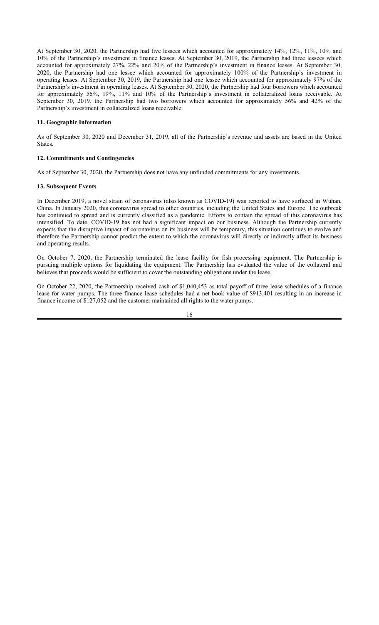At September 30, 2020, the Partnership had five lessees which accounted for approximately 14%, 12%, 11%, 10% and 10% of the Partnership's investment in finance leases. At September 30, 2019, the Partnership had three lessees which accounted for approximately 27%, 22% and 20% of the Partnership's investment in finance leases. At September 30, 2020, the Partnership had one lessee which accounted for approximately 100% of the Partnership's investment in operating leases. At September 30, 2019, the Partnership had one lessee which accounted for approximately 97% of the Partnership's investment in operating leases. At September 30, 2020, the Partnership had four borrowers which accounted for approximately 56%, 19%, 11% and 10% of the Partnership's investment in collateralized loans receivable. At September 30, 2019, the Partnership had two borrowers which accounted for approximately 56% and 42% of the Partnership's investment in collateralized loans receivable.

# **11. Geographic Information**

As of September 30, 2020 and December 31, 2019, all of the Partnership's revenue and assets are based in the United States.

# **12. Commitments and Contingencies**

As of September 30, 2020, the Partnership does not have any unfunded commitments for any investments.

# **13. Subsequent Events**

In December 2019, a novel strain of coronavirus (also known as COVID-19) was reported to have surfaced in Wuhan, China. In January 2020, this coronavirus spread to other countries, including the United States and Europe. The outbreak has continued to spread and is currently classified as a pandemic. Efforts to contain the spread of this coronavirus has intensified. To date, COVID-19 has not had a significant impact on our business. Although the Partnership currently expects that the disruptive impact of coronavirus on its business will be temporary, this situation continues to evolve and therefore the Partnership cannot predict the extent to which the coronavirus will directly or indirectly affect its business and operating results.

On October 7, 2020, the Partnership terminated the lease facility for fish processing equipment. The Partnership is pursuing multiple options for liquidating the equipment. The Partnership has evaluated the value of the collateral and believes that proceeds would be sufficient to cover the outstanding obligations under the lease.

On October 22, 2020, the Partnership received cash of \$1,040,453 as total payoff of three lease schedules of a finance lease for water pumps. The three finance lease schedules had a net book value of \$913,401 resulting in an increase in finance income of \$127,052 and the customer maintained all rights to the water pumps.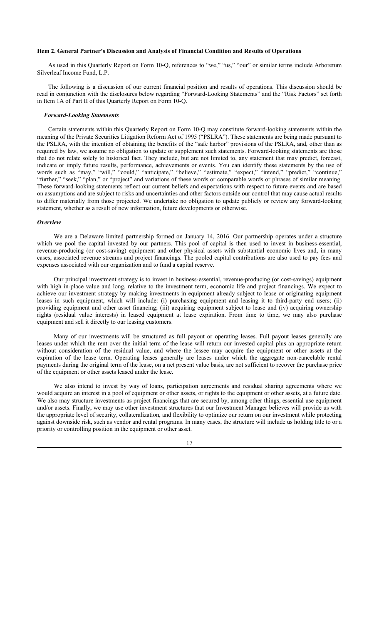#### **Item 2. General Partner's Discussion and Analysis of Financial Condition and Results of Operations**

As used in this Quarterly Report on Form 10-Q, references to "we," "us," "our" or similar terms include Arboretum Silverleaf Income Fund, L.P.

The following is a discussion of our current financial position and results of operations. This discussion should be read in conjunction with the disclosures below regarding "Forward-Looking Statements" and the "Risk Factors" set forth in Item 1A of Part II of this Quarterly Report on Form 10-Q.

#### *Forward-Looking Statements*

Certain statements within this Quarterly Report on Form 10-Q may constitute forward-looking statements within the meaning of the Private Securities Litigation Reform Act of 1995 ("PSLRA"). These statements are being made pursuant to the PSLRA, with the intention of obtaining the benefits of the "safe harbor" provisions of the PSLRA, and, other than as required by law, we assume no obligation to update or supplement such statements. Forward-looking statements are those that do not relate solely to historical fact. They include, but are not limited to, any statement that may predict, forecast, indicate or imply future results, performance, achievements or events. You can identify these statements by the use of words such as "may," "will," "could," "anticipate," "believe," "estimate," "expect," "intend," "predict," "continue," "further," "seek," "plan," or "project" and variations of these words or comparable words or phrases of similar meaning. These forward-looking statements reflect our current beliefs and expectations with respect to future events and are based on assumptions and are subject to risks and uncertainties and other factors outside our control that may cause actual results to differ materially from those projected. We undertake no obligation to update publicly or review any forward-looking statement, whether as a result of new information, future developments or otherwise.

#### *Overview*

We are a Delaware limited partnership formed on January 14, 2016. Our partnership operates under a structure which we pool the capital invested by our partners. This pool of capital is then used to invest in business-essential, revenue-producing (or cost-saving) equipment and other physical assets with substantial economic lives and, in many cases, associated revenue streams and project financings. The pooled capital contributions are also used to pay fees and expenses associated with our organization and to fund a capital reserve.

Our principal investment strategy is to invest in business-essential, revenue-producing (or cost-savings) equipment with high in-place value and long, relative to the investment term, economic life and project financings. We expect to achieve our investment strategy by making investments in equipment already subject to lease or originating equipment leases in such equipment, which will include: (i) purchasing equipment and leasing it to third-party end users; (ii) providing equipment and other asset financing; (iii) acquiring equipment subject to lease and (iv) acquiring ownership rights (residual value interests) in leased equipment at lease expiration. From time to time, we may also purchase equipment and sell it directly to our leasing customers.

Many of our investments will be structured as full payout or operating leases. Full payout leases generally are leases under which the rent over the initial term of the lease will return our invested capital plus an appropriate return without consideration of the residual value, and where the lessee may acquire the equipment or other assets at the expiration of the lease term. Operating leases generally are leases under which the aggregate non-cancelable rental payments during the original term of the lease, on a net present value basis, are not sufficient to recover the purchase price of the equipment or other assets leased under the lease.

We also intend to invest by way of loans, participation agreements and residual sharing agreements where we would acquire an interest in a pool of equipment or other assets, or rights to the equipment or other assets, at a future date. We also may structure investments as project financings that are secured by, among other things, essential use equipment and/or assets. Finally, we may use other investment structures that our Investment Manager believes will provide us with the appropriate level of security, collateralization, and flexibility to optimize our return on our investment while protecting against downside risk, such as vendor and rental programs. In many cases, the structure will include us holding title to or a priority or controlling position in the equipment or other asset.

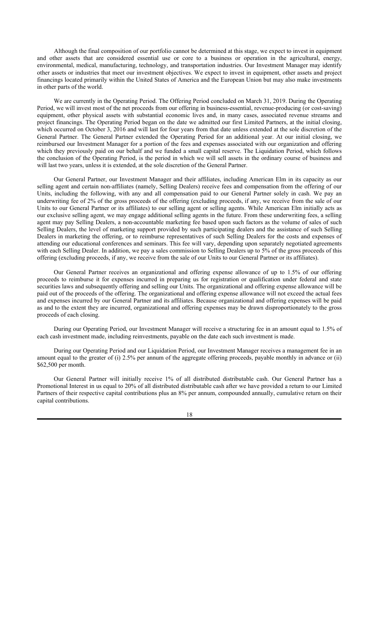Although the final composition of our portfolio cannot be determined at this stage, we expect to invest in equipment and other assets that are considered essential use or core to a business or operation in the agricultural, energy, environmental, medical, manufacturing, technology, and transportation industries. Our Investment Manager may identify other assets or industries that meet our investment objectives. We expect to invest in equipment, other assets and project financings located primarily within the United States of America and the European Union but may also make investments in other parts of the world.

We are currently in the Operating Period. The Offering Period concluded on March 31, 2019. During the Operating Period, we will invest most of the net proceeds from our offering in business-essential, revenue-producing (or cost-saving) equipment, other physical assets with substantial economic lives and, in many cases, associated revenue streams and project financings. The Operating Period began on the date we admitted our first Limited Partners, at the initial closing, which occurred on October 3, 2016 and will last for four years from that date unless extended at the sole discretion of the General Partner. The General Partner extended the Operating Period for an additional year. At our initial closing, we reimbursed our Investment Manager for a portion of the fees and expenses associated with our organization and offering which they previously paid on our behalf and we funded a small capital reserve. The Liquidation Period, which follows the conclusion of the Operating Period, is the period in which we will sell assets in the ordinary course of business and will last two years, unless it is extended, at the sole discretion of the General Partner.

Our General Partner, our Investment Manager and their affiliates, including American Elm in its capacity as our selling agent and certain non-affiliates (namely, Selling Dealers) receive fees and compensation from the offering of our Units, including the following, with any and all compensation paid to our General Partner solely in cash. We pay an underwriting fee of 2% of the gross proceeds of the offering (excluding proceeds, if any, we receive from the sale of our Units to our General Partner or its affiliates) to our selling agent or selling agents. While American Elm initially acts as our exclusive selling agent, we may engage additional selling agents in the future. From these underwriting fees, a selling agent may pay Selling Dealers, a non-accountable marketing fee based upon such factors as the volume of sales of such Selling Dealers, the level of marketing support provided by such participating dealers and the assistance of such Selling Dealers in marketing the offering, or to reimburse representatives of such Selling Dealers for the costs and expenses of attending our educational conferences and seminars. This fee will vary, depending upon separately negotiated agreements with each Selling Dealer. In addition, we pay a sales commission to Selling Dealers up to 5% of the gross proceeds of this offering (excluding proceeds, if any, we receive from the sale of our Units to our General Partner or its affiliates).

Our General Partner receives an organizational and offering expense allowance of up to 1.5% of our offering proceeds to reimburse it for expenses incurred in preparing us for registration or qualification under federal and state securities laws and subsequently offering and selling our Units. The organizational and offering expense allowance will be paid out of the proceeds of the offering. The organizational and offering expense allowance will not exceed the actual fees and expenses incurred by our General Partner and its affiliates. Because organizational and offering expenses will be paid as and to the extent they are incurred, organizational and offering expenses may be drawn disproportionately to the gross proceeds of each closing.

During our Operating Period, our Investment Manager will receive a structuring fee in an amount equal to 1.5% of each cash investment made, including reinvestments, payable on the date each such investment is made.

During our Operating Period and our Liquidation Period, our Investment Manager receives a management fee in an amount equal to the greater of (i) 2.5% per annum of the aggregate offering proceeds, payable monthly in advance or (ii) \$62,500 per month.

Our General Partner will initially receive 1% of all distributed distributable cash. Our General Partner has a Promotional Interest in us equal to 20% of all distributed distributable cash after we have provided a return to our Limited Partners of their respective capital contributions plus an 8% per annum, compounded annually, cumulative return on their capital contributions.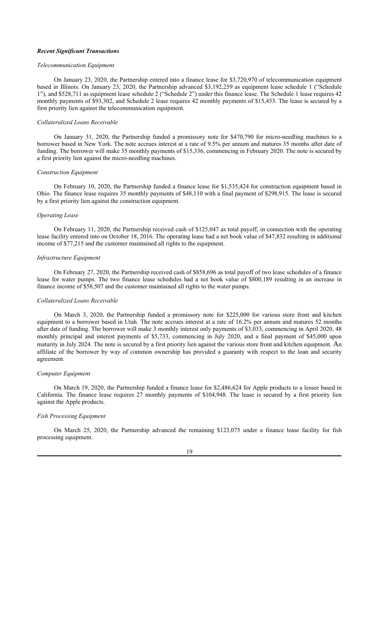#### *Recent Significant Transactions*

#### *Telecommunication Equipment*

On January 23, 2020, the Partnership entered into a finance lease for \$3,720,970 of telecommunication equipment based in Illinois. On January 23, 2020, the Partnership advanced \$3,192,259 as equipment lease schedule 1 ("Schedule 1"), and \$528,711 as equipment lease schedule 2 ("Schedule 2") under this finance lease. The Schedule 1 lease requires 42 monthly payments of \$93,302, and Schedule 2 lease requires 42 monthly payments of \$15,453. The lease is secured by a first priority lien against the telecommunication equipment.

#### *Collateralized Loans Receivable*

On January 31, 2020, the Partnership funded a promissory note for \$470,790 for micro-needling machines to a borrower based in New York. The note accrues interest at a rate of 9.5% per annum and matures 35 months after date of funding. The borrower will make 35 monthly payments of \$15,336, commencing in February 2020. The note is secured by a first priority lien against the micro-needling machines.

#### *Construction Equipment*

On February 10, 2020, the Partnership funded a finance lease for \$1,535,424 for construction equipment based in Ohio. The finance lease requires 35 monthly payments of \$48,110 with a final payment of \$298,915. The lease is secured by a first priority lien against the construction equipment.

## *Operating Lease*

On February 11, 2020, the Partnership received cash of \$125,047 as total payoff, in connection with the operating lease facility entered into on October 18, 2016. The operating lease had a net book value of \$47,832 resulting in additional income of \$77,215 and the customer maintained all rights to the equipment.

### *Infrastructure Equipment*

On February 27, 2020, the Partnership received cash of \$858,696 as total payoff of two lease schedules of a finance lease for water pumps. The two finance lease schedules had a net book value of \$800,189 resulting in an increase in finance income of \$58,507 and the customer maintained all rights to the water pumps.

## *Collateralized Loans Receivable*

On March 3, 2020, the Partnership funded a promissory note for \$225,000 for various store front and kitchen equipment to a borrower based in Utah. The note accrues interest at a rate of 16.2% per annum and matures 52 months after date of funding. The borrower will make 3 monthly interest only payments of \$3,033, commencing in April 2020, 48 monthly principal and interest payments of \$5,733, commencing in July 2020, and a final payment of \$45,000 upon maturity in July 2024. The note is secured by a first priority lien against the various store front and kitchen equipment. An affiliate of the borrower by way of common ownership has provided a guaranty with respect to the loan and security agreement.

#### *Computer Equipment*

On March 19, 2020, the Partnership funded a finance lease for \$2,486,624 for Apple products to a lessee based in California. The finance lease requires 27 monthly payments of \$104,948. The lease is secured by a first priority lien against the Apple products.

### *Fish Processing Equipment*

On March 25, 2020, the Partnership advanced the remaining \$123,075 under a finance lease facility for fish processing equipment.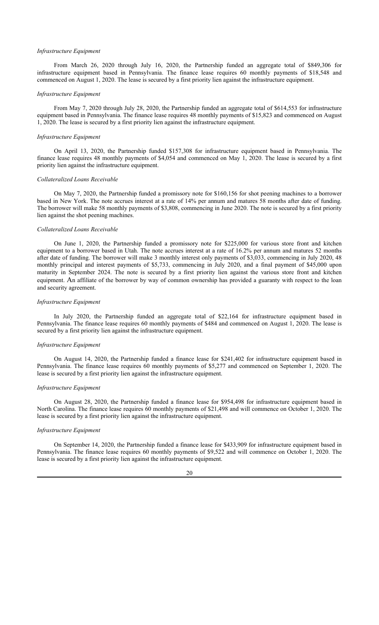#### *Infrastructure Equipment*

From March 26, 2020 through July 16, 2020, the Partnership funded an aggregate total of \$849,306 for infrastructure equipment based in Pennsylvania. The finance lease requires 60 monthly payments of \$18,548 and commenced on August 1, 2020. The lease is secured by a first priority lien against the infrastructure equipment.

#### *Infrastructure Equipment*

From May 7, 2020 through July 28, 2020, the Partnership funded an aggregate total of \$614,553 for infrastructure equipment based in Pennsylvania. The finance lease requires 48 monthly payments of \$15,823 and commenced on August 1, 2020. The lease is secured by a first priority lien against the infrastructure equipment.

### *Infrastructure Equipment*

On April 13, 2020, the Partnership funded \$157,308 for infrastructure equipment based in Pennsylvania. The finance lease requires 48 monthly payments of \$4,054 and commenced on May 1, 2020. The lease is secured by a first priority lien against the infrastructure equipment.

## *Collateralized Loans Receivable*

On May 7, 2020, the Partnership funded a promissory note for \$160,156 for shot peening machines to a borrower based in New York. The note accrues interest at a rate of 14% per annum and matures 58 months after date of funding. The borrower will make 58 monthly payments of \$3,808, commencing in June 2020. The note is secured by a first priority lien against the shot peening machines.

#### *Collateralized Loans Receivable*

On June 1, 2020, the Partnership funded a promissory note for \$225,000 for various store front and kitchen equipment to a borrower based in Utah. The note accrues interest at a rate of 16.2% per annum and matures 52 months after date of funding. The borrower will make 3 monthly interest only payments of \$3,033, commencing in July 2020, 48 monthly principal and interest payments of \$5,733, commencing in July 2020, and a final payment of \$45,000 upon maturity in September 2024. The note is secured by a first priority lien against the various store front and kitchen equipment. An affiliate of the borrower by way of common ownership has provided a guaranty with respect to the loan and security agreement.

# *Infrastructure Equipment*

In July 2020, the Partnership funded an aggregate total of \$22,164 for infrastructure equipment based in Pennsylvania. The finance lease requires 60 monthly payments of \$484 and commenced on August 1, 2020. The lease is secured by a first priority lien against the infrastructure equipment.

#### *Infrastructure Equipment*

On August 14, 2020, the Partnership funded a finance lease for \$241,402 for infrastructure equipment based in Pennsylvania. The finance lease requires 60 monthly payments of \$5,277 and commenced on September 1, 2020. The lease is secured by a first priority lien against the infrastructure equipment.

## *Infrastructure Equipment*

On August 28, 2020, the Partnership funded a finance lease for \$954,498 for infrastructure equipment based in North Carolina. The finance lease requires 60 monthly payments of \$21,498 and will commence on October 1, 2020. The lease is secured by a first priority lien against the infrastructure equipment.

#### *Infrastructure Equipment*

On September 14, 2020, the Partnership funded a finance lease for \$433,909 for infrastructure equipment based in Pennsylvania. The finance lease requires 60 monthly payments of \$9,522 and will commence on October 1, 2020. The lease is secured by a first priority lien against the infrastructure equipment.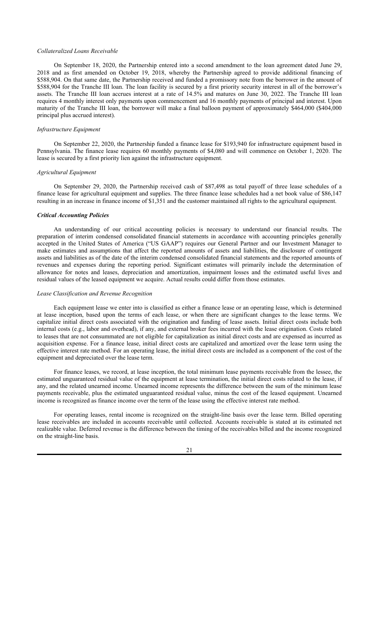#### *Collateralized Loans Receivable*

On September 18, 2020, the Partnership entered into a second amendment to the loan agreement dated June 29, 2018 and as first amended on October 19, 2018, whereby the Partnership agreed to provide additional financing of \$588,904. On that same date, the Partnership received and funded a promissory note from the borrower in the amount of \$588,904 for the Tranche III loan. The loan facility is secured by a first priority security interest in all of the borrower's assets. The Tranche III loan accrues interest at a rate of 14.5% and matures on June 30, 2022. The Tranche III loan requires 4 monthly interest only payments upon commencement and 16 monthly payments of principal and interest. Upon maturity of the Tranche III loan, the borrower will make a final balloon payment of approximately \$464,000 (\$404,000 principal plus accrued interest).

## *Infrastructure Equipment*

On September 22, 2020, the Partnership funded a finance lease for \$193,940 for infrastructure equipment based in Pennsylvania. The finance lease requires 60 monthly payments of \$4,080 and will commence on October 1, 2020. The lease is secured by a first priority lien against the infrastructure equipment.

#### *Agricultural Equipment*

On September 29, 2020, the Partnership received cash of \$87,498 as total payoff of three lease schedules of a finance lease for agricultural equipment and supplies. The three finance lease schedules had a net book value of \$86,147 resulting in an increase in finance income of \$1,351 and the customer maintained all rights to the agricultural equipment.

## *Critical Accounting Policies*

An understanding of our critical accounting policies is necessary to understand our financial results. The preparation of interim condensed consolidated financial statements in accordance with accounting principles generally accepted in the United States of America ("US GAAP") requires our General Partner and our Investment Manager to make estimates and assumptions that affect the reported amounts of assets and liabilities, the disclosure of contingent assets and liabilities as of the date of the interim condensed consolidated financial statements and the reported amounts of revenues and expenses during the reporting period. Significant estimates will primarily include the determination of allowance for notes and leases, depreciation and amortization, impairment losses and the estimated useful lives and residual values of the leased equipment we acquire. Actual results could differ from those estimates.

#### *Lease Classification and Revenue Recognition*

Each equipment lease we enter into is classified as either a finance lease or an operating lease, which is determined at lease inception, based upon the terms of each lease, or when there are significant changes to the lease terms. We capitalize initial direct costs associated with the origination and funding of lease assets. Initial direct costs include both internal costs (e.g., labor and overhead), if any, and external broker fees incurred with the lease origination. Costs related to leases that are not consummated are not eligible for capitalization as initial direct costs and are expensed as incurred as acquisition expense. For a finance lease, initial direct costs are capitalized and amortized over the lease term using the effective interest rate method. For an operating lease, the initial direct costs are included as a component of the cost of the equipment and depreciated over the lease term.

For finance leases, we record, at lease inception, the total minimum lease payments receivable from the lessee, the estimated unguaranteed residual value of the equipment at lease termination, the initial direct costs related to the lease, if any, and the related unearned income. Unearned income represents the difference between the sum of the minimum lease payments receivable, plus the estimated unguaranteed residual value, minus the cost of the leased equipment. Unearned income is recognized as finance income over the term of the lease using the effective interest rate method.

For operating leases, rental income is recognized on the straight-line basis over the lease term. Billed operating lease receivables are included in accounts receivable until collected. Accounts receivable is stated at its estimated net realizable value. Deferred revenue is the difference between the timing of the receivables billed and the income recognized on the straight-line basis.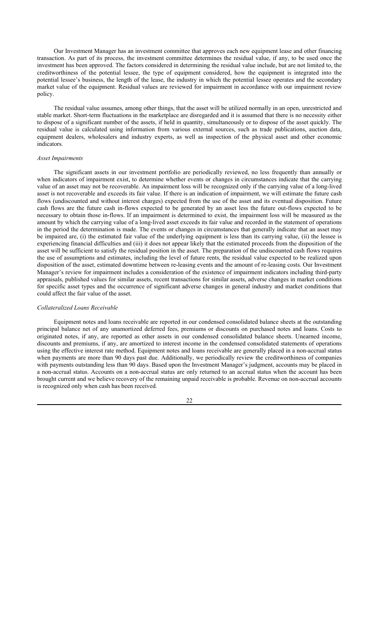Our Investment Manager has an investment committee that approves each new equipment lease and other financing transaction. As part of its process, the investment committee determines the residual value, if any, to be used once the investment has been approved. The factors considered in determining the residual value include, but are not limited to, the creditworthiness of the potential lessee, the type of equipment considered, how the equipment is integrated into the potential lessee's business, the length of the lease, the industry in which the potential lessee operates and the secondary market value of the equipment. Residual values are reviewed for impairment in accordance with our impairment review policy.

The residual value assumes, among other things, that the asset will be utilized normally in an open, unrestricted and stable market. Short-term fluctuations in the marketplace are disregarded and it is assumed that there is no necessity either to dispose of a significant number of the assets, if held in quantity, simultaneously or to dispose of the asset quickly. The residual value is calculated using information from various external sources, such as trade publications, auction data, equipment dealers, wholesalers and industry experts, as well as inspection of the physical asset and other economic indicators.

## *Asset Impairments*

The significant assets in our investment portfolio are periodically reviewed, no less frequently than annually or when indicators of impairment exist, to determine whether events or changes in circumstances indicate that the carrying value of an asset may not be recoverable. An impairment loss will be recognized only if the carrying value of a long-lived asset is not recoverable and exceeds its fair value. If there is an indication of impairment, we will estimate the future cash flows (undiscounted and without interest charges) expected from the use of the asset and its eventual disposition. Future cash flows are the future cash in-flows expected to be generated by an asset less the future out-flows expected to be necessary to obtain those in-flows. If an impairment is determined to exist, the impairment loss will be measured as the amount by which the carrying value of a long-lived asset exceeds its fair value and recorded in the statement of operations in the period the determination is made. The events or changes in circumstances that generally indicate that an asset may be impaired are, (i) the estimated fair value of the underlying equipment is less than its carrying value, (ii) the lessee is experiencing financial difficulties and (iii) it does not appear likely that the estimated proceeds from the disposition of the asset will be sufficient to satisfy the residual position in the asset. The preparation of the undiscounted cash flows requires the use of assumptions and estimates, including the level of future rents, the residual value expected to be realized upon disposition of the asset, estimated downtime between re-leasing events and the amount of re-leasing costs. Our Investment Manager's review for impairment includes a consideration of the existence of impairment indicators including third-party appraisals, published values for similar assets, recent transactions for similar assets, adverse changes in market conditions for specific asset types and the occurrence of significant adverse changes in general industry and market conditions that could affect the fair value of the asset.

#### *Collateralized Loans Receivable*

Equipment notes and loans receivable are reported in our condensed consolidated balance sheets at the outstanding principal balance net of any unamortized deferred fees, premiums or discounts on purchased notes and loans. Costs to originated notes, if any, are reported as other assets in our condensed consolidated balance sheets. Unearned income, discounts and premiums, if any, are amortized to interest income in the condensed consolidated statements of operations using the effective interest rate method. Equipment notes and loans receivable are generally placed in a non-accrual status when payments are more than 90 days past due. Additionally, we periodically review the creditworthiness of companies with payments outstanding less than 90 days. Based upon the Investment Manager's judgment, accounts may be placed in a non-accrual status. Accounts on a non-accrual status are only returned to an accrual status when the account has been brought current and we believe recovery of the remaining unpaid receivable is probable. Revenue on non-accrual accounts is recognized only when cash has been received.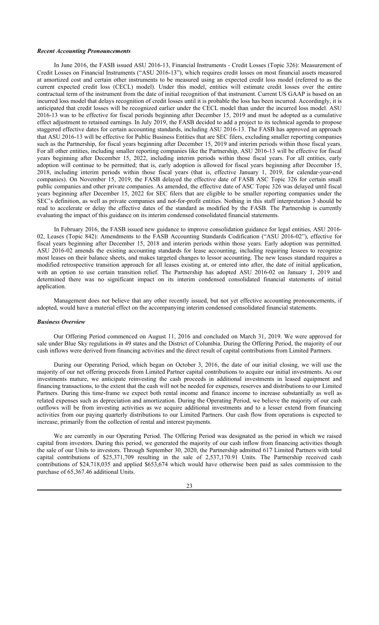#### *Recent Accounting Pronouncements*

In June 2016, the FASB issued ASU 2016-13, Financial Instruments - Credit Losses (Topic 326): Measurement of Credit Losses on Financial Instruments ("ASU 2016-13"), which requires credit losses on most financial assets measured at amortized cost and certain other instruments to be measured using an expected credit loss model (referred to as the current expected credit loss (CECL) model). Under this model, entities will estimate credit losses over the entire contractual term of the instrument from the date of initial recognition of that instrument. Current US GAAP is based on an incurred loss model that delays recognition of credit losses until it is probable the loss has been incurred. Accordingly, it is anticipated that credit losses will be recognized earlier under the CECL model than under the incurred loss model. ASU 2016-13 was to be effective for fiscal periods beginning after December 15, 2019 and must be adopted as a cumulative effect adjustment to retained earnings. In July 2019, the FASB decided to add a project to its technical agenda to propose staggered effective dates for certain accounting standards, including ASU 2016-13. The FASB has approved an approach that ASU 2016-13 will be effective for Public Business Entities that are SEC filers, excluding smaller reporting companies such as the Partnership, for fiscal years beginning after December 15, 2019 and interim periods within those fiscal years. For all other entities, including smaller reporting companies like the Partnership, ASU 2016-13 will be effective for fiscal years beginning after December 15, 2022, including interim periods within those fiscal years. For all entities, early adoption will continue to be permitted; that is, early adoption is allowed for fiscal years beginning after December 15, 2018, including interim periods within those fiscal years (that is, effective January 1, 2019, for calendar-year-end companies). On November 15, 2019, the FASB delayed the effective date of FASB ASC Topic 326 for certain small public companies and other private companies. As amended, the effective date of ASC Topic 326 was delayed until fiscal years beginning after December 15, 2022 for SEC filers that are eligible to be smaller reporting companies under the SEC's definition, as well as private companies and not-for-profit entities. Nothing in this staff interpretation 3 should be read to accelerate or delay the effective dates of the standard as modified by the FASB. The Partnership is currently evaluating the impact of this guidance on its interim condensed consolidated financial statements.

In February 2016, the FASB issued new guidance to improve consolidation guidance for legal entities, ASU 2016- 02, Leases (Topic 842): Amendments to the FASB Accounting Standards Codification ("ASU 2016-02"), effective for fiscal years beginning after December 15, 2018 and interim periods within those years. Early adoption was permitted. ASU 2016-02 amends the existing accounting standards for lease accounting, including requiring lessees to recognize most leases on their balance sheets, and makes targeted changes to lessor accounting. The new leases standard requires a modified retrospective transition approach for all leases existing at, or entered into after, the date of initial application, with an option to use certain transition relief. The Partnership has adopted ASU 2016-02 on January 1, 2019 and determined there was no significant impact on its interim condensed consolidated financial statements of initial application.

Management does not believe that any other recently issued, but not yet effective accounting pronouncements, if adopted, would have a material effect on the accompanying interim condensed consolidated financial statements.

#### *Business Overview*

Our Offering Period commenced on August 11, 2016 and concluded on March 31, 2019. We were approved for sale under Blue Sky regulations in 49 states and the District of Columbia. During the Offering Period, the majority of our cash inflows were derived from financing activities and the direct result of capital contributions from Limited Partners.

During our Operating Period, which began on October 3, 2016, the date of our initial closing, we will use the majority of our net offering proceeds from Limited Partner capital contributions to acquire our initial investments. As our investments mature, we anticipate reinvesting the cash proceeds in additional investments in leased equipment and financing transactions, to the extent that the cash will not be needed for expenses, reserves and distributions to our Limited Partners. During this time-frame we expect both rental income and finance income to increase substantially as well as related expenses such as depreciation and amortization. During the Operating Period, we believe the majority of our cash outflows will be from investing activities as we acquire additional investments and to a lesser extend from financing activities from our paying quarterly distributions to our Limited Partners. Our cash flow from operations is expected to increase, primarily from the collection of rental and interest payments.

We are currently in our Operating Period. The Offering Period was designated as the period in which we raised capital from investors. During this period, we generated the majority of our cash inflow from financing activities though the sale of our Units to investors. Through September 30, 2020, the Partnership admitted 617 Limited Partners with total capital contributions of \$25,371,709 resulting in the sale of 2,537,170.91 Units. The Partnership received cash contributions of \$24,718,035 and applied \$653,674 which would have otherwise been paid as sales commission to the purchase of 65,367.46 additional Units.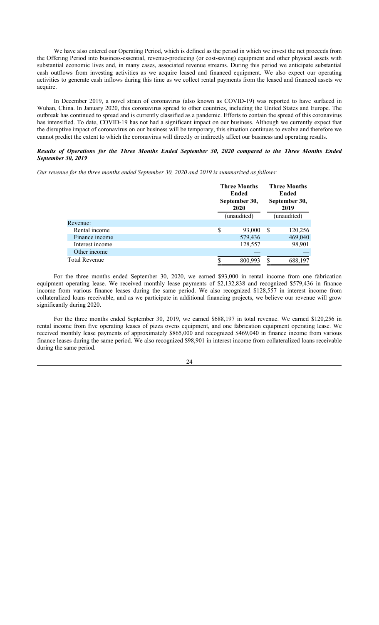We have also entered our Operating Period, which is defined as the period in which we invest the net proceeds from the Offering Period into business-essential, revenue-producing (or cost-saving) equipment and other physical assets with substantial economic lives and, in many cases, associated revenue streams. During this period we anticipate substantial cash outflows from investing activities as we acquire leased and financed equipment. We also expect our operating activities to generate cash inflows during this time as we collect rental payments from the leased and financed assets we acquire.

In December 2019, a novel strain of coronavirus (also known as COVID-19) was reported to have surfaced in Wuhan, China. In January 2020, this coronavirus spread to other countries, including the United States and Europe. The outbreak has continued to spread and is currently classified as a pandemic. Efforts to contain the spread of this coronavirus has intensified. To date, COVID-19 has not had a significant impact on our business. Although we currently expect that the disruptive impact of coronavirus on our business will be temporary, this situation continues to evolve and therefore we cannot predict the extent to which the coronavirus will directly or indirectly affect our business and operating results.

#### *Results of Operations for the Three Months Ended September 30, 2020 compared to the Three Months Ended September 30, 2019*

*Our revenue for the three months ended September 30, 2020 and 2019 is summarized as follows:*

|                      | <b>Three Months</b><br><b>Ended</b><br>September 30,<br>2020<br>(unaudited) |               | <b>Three Months</b><br>Ended<br>September 30,<br>2019<br>(unaudited) |  |
|----------------------|-----------------------------------------------------------------------------|---------------|----------------------------------------------------------------------|--|
| Revenue:             |                                                                             |               |                                                                      |  |
| Rental income        | \$<br>93,000                                                                | <sup>\$</sup> | 120,256                                                              |  |
| Finance income       | 579,436                                                                     |               | 469,040                                                              |  |
| Interest income      | 128,557                                                                     |               | 98,901                                                               |  |
| Other income         |                                                                             |               |                                                                      |  |
| <b>Total Revenue</b> | 800,993                                                                     | S             | 688,197                                                              |  |

For the three months ended September 30, 2020, we earned \$93,000 in rental income from one fabrication equipment operating lease. We received monthly lease payments of \$2,132,838 and recognized \$579,436 in finance income from various finance leases during the same period. We also recognized \$128,557 in interest income from collateralized loans receivable, and as we participate in additional financing projects, we believe our revenue will grow significantly during 2020.

For the three months ended September 30, 2019, we earned \$688,197 in total revenue. We earned \$120,256 in rental income from five operating leases of pizza ovens equipment, and one fabrication equipment operating lease. We received monthly lease payments of approximately \$865,000 and recognized \$469,040 in finance income from various finance leases during the same period. We also recognized \$98,901 in interest income from collateralized loans receivable during the same period.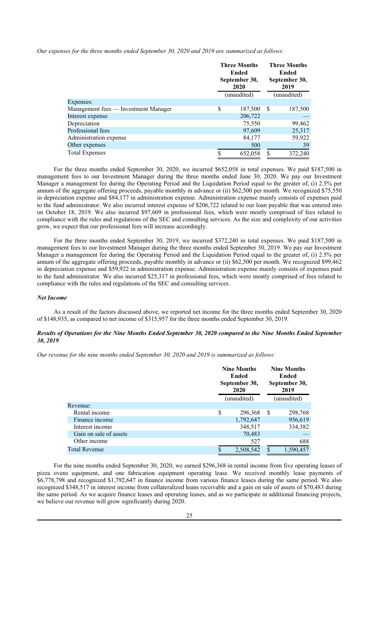*Our expenses for the three months ended September 30, 2020 and 2019 are summarized as follows:*

|                                      | <b>Three Months</b><br><b>Ended</b><br>September 30,<br>2020 |             | <b>Three Months</b><br><b>Ended</b><br>September 30,<br>2019 |             |
|--------------------------------------|--------------------------------------------------------------|-------------|--------------------------------------------------------------|-------------|
|                                      |                                                              | (unaudited) |                                                              | (unaudited) |
| Expenses:                            |                                                              |             |                                                              |             |
| Management fees — Investment Manager | \$                                                           | 187,500     | -S                                                           | 187,500     |
| Interest expense                     |                                                              | 206,722     |                                                              |             |
| Depreciation                         |                                                              | 75,550      |                                                              | 99,462      |
| Professional fees                    |                                                              | 97,609      |                                                              | 25,317      |
| Administration expense               |                                                              | 84,177      |                                                              | 59,922      |
| Other expenses                       |                                                              | 500         |                                                              | 39          |
| <b>Total Expenses</b>                |                                                              | 652,058     | S                                                            | 372,240     |

For the three months ended September 30, 2020, we incurred \$652,058 in total expenses. We paid \$187,500 in management fees to our Investment Manager during the three months ended June 30, 2020. We pay our Investment Manager a management fee during the Operating Period and the Liquidation Period equal to the greater of, (i) 2.5% per annum of the aggregate offering proceeds, payable monthly in advance or (ii) \$62,500 per month. We recognized \$75,550 in depreciation expense and \$84,177 in administration expense. Administration expense mainly consists of expenses paid to the fund administrator. We also incurred interest expense of \$206,722 related to our loan payable that was entered into on October 18, 2019. We also incurred \$97,609 in professional fees, which were mostly comprised of fees related to compliance with the rules and regulations of the SEC and consulting services. As the size and complexity of our activities grow, we expect that our professional fees will increase accordingly.

For the three months ended September 30, 2019, we incurred \$372,240 in total expenses. We paid \$187,500 in management fees to our Investment Manager during the three months ended September 30, 2019. We pay our Investment Manager a management fee during the Operating Period and the Liquidation Period equal to the greater of, (i) 2.5% per annum of the aggregate offering proceeds, payable monthly in advance or (ii) \$62,500 per month. We recognized \$99,462 in depreciation expense and \$59,922 in administration expense. Administration expense mainly consists of expenses paid to the fund administrator. We also incurred \$25,317 in professional fees, which were mostly comprised of fees related to compliance with the rules and regulations of the SEC and consulting services.

#### *Net Income*

As a result of the factors discussed above, we reported net income for the three months ended September 30, 2020 of \$148,935, as compared to net income of \$315,957 for the three months ended September 30, 2019.

## *Results of Operations for the Nine Months Ended September 30, 2020 compared to the Nine Months Ended September 30, 2019*

*Our revenue for the nine months ended September 30, 2020 and 2019 is summarized as follows:*

|                        |    | <b>Nine Months</b><br><b>Ended</b><br>September 30,<br>2020<br>(unaudited) |               | <b>Nine Months</b><br><b>Ended</b><br>September 30,<br>2019 |
|------------------------|----|----------------------------------------------------------------------------|---------------|-------------------------------------------------------------|
|                        |    |                                                                            |               | (unaudited)                                                 |
| Revenue:               |    |                                                                            |               |                                                             |
| Rental income          | \$ | 296,368                                                                    | <sup>\$</sup> | 298,768                                                     |
| Finance income         |    | 1,792,647                                                                  |               | 956,619                                                     |
| Interest income        |    | 348,517                                                                    |               | 334,382                                                     |
| Gain on sale of assets |    | 70,483                                                                     |               |                                                             |
| Other income           |    | 527                                                                        |               | 688                                                         |
| <b>Total Revenue</b>   |    | 2,508,542                                                                  | <sup>\$</sup> | 1.590.457                                                   |

For the nine months ended September 30, 2020, we earned \$296,368 in rental income from five operating leases of pizza ovens equipment, and one fabrication equipment operating lease. We received monthly lease payments of \$6,778,798 and recognized \$1,792,647 in finance income from various finance leases during the same period. We also recognized \$348,517 in interest income from collateralized loans receivable and a gain on sale of assets of \$70,483 during the same period. As we acquire finance leases and operating leases, and as we participate in additional financing projects, we believe our revenue will grow significantly during 2020.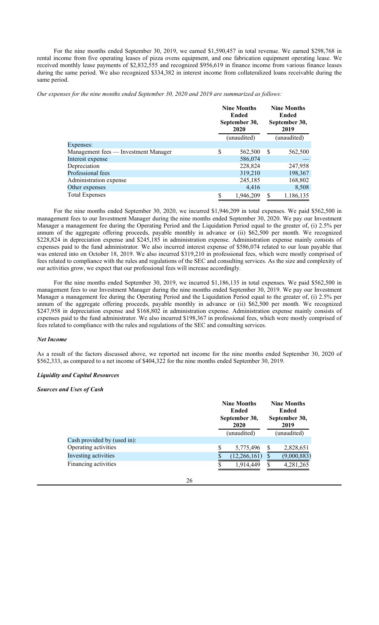For the nine months ended September 30, 2019, we earned \$1,590,457 in total revenue. We earned \$298,768 in rental income from five operating leases of pizza ovens equipment, and one fabrication equipment operating lease. We received monthly lease payments of \$2,832,555 and recognized \$956,619 in finance income from various finance leases during the same period. We also recognized \$334,382 in interest income from collateralized loans receivable during the same period.

# *Our expenses for the nine months ended September 30, 2020 and 2019 are summarized as follows:*

|                                      |    | <b>Nine Months</b><br><b>Ended</b><br>September 30,<br>2020 |    | <b>Nine Months</b><br>Ended<br>September 30,<br>2019 |
|--------------------------------------|----|-------------------------------------------------------------|----|------------------------------------------------------|
|                                      |    | (unaudited)                                                 |    | (unaudited)                                          |
| Expenses:                            |    |                                                             |    |                                                      |
| Management fees — Investment Manager | \$ | 562,500                                                     | S  | 562,500                                              |
| Interest expense                     |    | 586,074                                                     |    |                                                      |
| Depreciation                         |    | 228,824                                                     |    | 247,958                                              |
| Professional fees                    |    | 319,210                                                     |    | 198,367                                              |
| Administration expense               |    | 245,185                                                     |    | 168,802                                              |
| Other expenses                       |    | 4.416                                                       |    | 8,508                                                |
| <b>Total Expenses</b>                | S  | 1,946,209                                                   | \$ | 1.186,135                                            |

For the nine months ended September 30, 2020, we incurred \$1,946,209 in total expenses. We paid \$562,500 in management fees to our Investment Manager during the nine months ended September 30, 2020. We pay our Investment Manager a management fee during the Operating Period and the Liquidation Period equal to the greater of, (i) 2.5% per annum of the aggregate offering proceeds, payable monthly in advance or (ii) \$62,500 per month. We recognized \$228,824 in depreciation expense and \$245,185 in administration expense. Administration expense mainly consists of expenses paid to the fund administrator. We also incurred interest expense of \$586,074 related to our loan payable that was entered into on October 18, 2019. We also incurred \$319,210 in professional fees, which were mostly comprised of fees related to compliance with the rules and regulations of the SEC and consulting services. As the size and complexity of our activities grow, we expect that our professional fees will increase accordingly.

For the nine months ended September 30, 2019, we incurred \$1,186,135 in total expenses. We paid \$562,500 in management fees to our Investment Manager during the nine months ended September 30, 2019. We pay our Investment Manager a management fee during the Operating Period and the Liquidation Period equal to the greater of, (i) 2.5% per annum of the aggregate offering proceeds, payable monthly in advance or (ii) \$62,500 per month. We recognized \$247,958 in depreciation expense and \$168,802 in administration expense. Administration expense mainly consists of expenses paid to the fund administrator. We also incurred \$198,367 in professional fees, which were mostly comprised of fees related to compliance with the rules and regulations of the SEC and consulting services.

# *Net Income*

As a result of the factors discussed above, we reported net income for the nine months ended September 30, 2020 of \$562,333, as compared to a net income of \$404,322 for the nine months ended September 30, 2019.

## *Liquidity and Capital Resources*

#### *Sources and Uses of Cash*

|                             | <b>Nine Months</b><br>Ended<br>September 30,<br>2020 |             | <b>Nine Months</b><br><b>Ended</b><br>September 30,<br>2019 |  |
|-----------------------------|------------------------------------------------------|-------------|-------------------------------------------------------------|--|
|                             | (unaudited)                                          | (unaudited) |                                                             |  |
| Cash provided by (used in): |                                                      |             |                                                             |  |
| Operating activities        | 5,775,496                                            |             | 2,828,651                                                   |  |
| Investing activities        | (12,266,161)                                         | S           | (9,000,883)                                                 |  |
| Financing activities        | 1.914.449                                            |             | 4,281,265                                                   |  |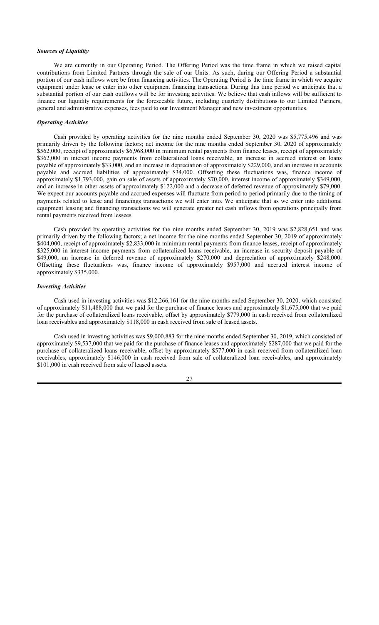#### *Sources of Liquidity*

We are currently in our Operating Period. The Offering Period was the time frame in which we raised capital contributions from Limited Partners through the sale of our Units. As such, during our Offering Period a substantial portion of our cash inflows were be from financing activities. The Operating Period is the time frame in which we acquire equipment under lease or enter into other equipment financing transactions. During this time period we anticipate that a substantial portion of our cash outflows will be for investing activities. We believe that cash inflows will be sufficient to finance our liquidity requirements for the foreseeable future, including quarterly distributions to our Limited Partners, general and administrative expenses, fees paid to our Investment Manager and new investment opportunities.

## *Operating Activities*

Cash provided by operating activities for the nine months ended September 30, 2020 was \$5,775,496 and was primarily driven by the following factors; net income for the nine months ended September 30, 2020 of approximately \$562,000, receipt of approximately \$6,968,000 in minimum rental payments from finance leases, receipt of approximately \$362,000 in interest income payments from collateralized loans receivable, an increase in accrued interest on loans payable of approximately \$33,000, and an increase in depreciation of approximately \$229,000, and an increase in accounts payable and accrued liabilities of approximately \$34,000. Offsetting these fluctuations was, finance income of approximately \$1,793,000, gain on sale of assets of approximately \$70,000, interest income of approximately \$349,000, and an increase in other assets of approximately \$122,000 and a decrease of deferred revenue of approximately \$79,000. We expect our accounts payable and accrued expenses will fluctuate from period to period primarily due to the timing of payments related to lease and financings transactions we will enter into. We anticipate that as we enter into additional equipment leasing and financing transactions we will generate greater net cash inflows from operations principally from rental payments received from lessees.

Cash provided by operating activities for the nine months ended September 30, 2019 was \$2,828,651 and was primarily driven by the following factors; a net income for the nine months ended September 30, 2019 of approximately \$404,000, receipt of approximately \$2,833,000 in minimum rental payments from finance leases, receipt of approximately \$325,000 in interest income payments from collateralized loans receivable, an increase in security deposit payable of \$49,000, an increase in deferred revenue of approximately \$270,000 and depreciation of approximately \$248,000. Offsetting these fluctuations was, finance income of approximately \$957,000 and accrued interest income of approximately \$335,000.

#### *Investing Activities*

Cash used in investing activities was \$12,266,161 for the nine months ended September 30, 2020, which consisted of approximately \$11,488,000 that we paid for the purchase of finance leases and approximately \$1,675,000 that we paid for the purchase of collateralized loans receivable, offset by approximately \$779,000 in cash received from collateralized loan receivables and approximately \$118,000 in cash received from sale of leased assets.

Cash used in investing activities was \$9,000,883 for the nine months ended September 30, 2019, which consisted of approximately \$9,537,000 that we paid for the purchase of finance leases and approximately \$287,000 that we paid for the purchase of collateralized loans receivable, offset by approximately \$577,000 in cash received from collateralized loan receivables, approximately \$146,000 in cash received from sale of collateralized loan receivables, and approximately \$101,000 in cash received from sale of leased assets.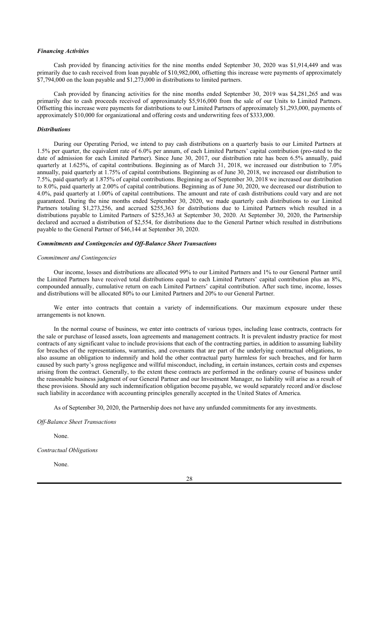#### *Financing Activities*

Cash provided by financing activities for the nine months ended September 30, 2020 was \$1,914,449 and was primarily due to cash received from loan payable of \$10,982,000, offsetting this increase were payments of approximately \$7,794,000 on the loan payable and \$1,273,000 in distributions to limited partners.

Cash provided by financing activities for the nine months ended September 30, 2019 was \$4,281,265 and was primarily due to cash proceeds received of approximately \$5,916,000 from the sale of our Units to Limited Partners. Offsetting this increase were payments for distributions to our Limited Partners of approximately \$1,293,000, payments of approximately \$10,000 for organizational and offering costs and underwriting fees of \$333,000.

#### *Distributions*

During our Operating Period, we intend to pay cash distributions on a quarterly basis to our Limited Partners at 1.5% per quarter, the equivalent rate of 6.0% per annum, of each Limited Partners' capital contribution (pro-rated to the date of admission for each Limited Partner). Since June 30, 2017, our distribution rate has been 6.5% annually, paid quarterly at 1.625%, of capital contributions. Beginning as of March 31, 2018, we increased our distribution to 7.0% annually, paid quarterly at 1.75% of capital contributions. Beginning as of June 30, 2018, we increased our distribution to 7.5%, paid quarterly at 1.875% of capital contributions. Beginning as of September 30, 2018 we increased our distribution to 8.0%, paid quarterly at 2.00% of capital contributions. Beginning as of June 30, 2020, we decreased our distribution to 4.0%, paid quarterly at 1.00% of capital contributions. The amount and rate of cash distributions could vary and are not guaranteed. During the nine months ended September 30, 2020, we made quarterly cash distributions to our Limited Partners totaling \$1,273,256, and accrued \$255,363 for distributions due to Limited Partners which resulted in a distributions payable to Limited Partners of \$255,363 at September 30, 2020. At September 30, 2020, the Partnership declared and accrued a distribution of \$2,554, for distributions due to the General Partner which resulted in distributions payable to the General Partner of \$46,144 at September 30, 2020.

## *Commitments and Contingencies and Off-Balance Sheet Transactions*

## *Commitment and Contingencies*

Our income, losses and distributions are allocated 99% to our Limited Partners and 1% to our General Partner until the Limited Partners have received total distributions equal to each Limited Partners' capital contribution plus an 8%, compounded annually, cumulative return on each Limited Partners' capital contribution. After such time, income, losses and distributions will be allocated 80% to our Limited Partners and 20% to our General Partner.

We enter into contracts that contain a variety of indemnifications. Our maximum exposure under these arrangements is not known.

In the normal course of business, we enter into contracts of various types, including lease contracts, contracts for the sale or purchase of leased assets, loan agreements and management contracts. It is prevalent industry practice for most contracts of any significant value to include provisions that each of the contracting parties, in addition to assuming liability for breaches of the representations, warranties, and covenants that are part of the underlying contractual obligations, to also assume an obligation to indemnify and hold the other contractual party harmless for such breaches, and for harm caused by such party's gross negligence and willful misconduct, including, in certain instances, certain costs and expenses arising from the contract. Generally, to the extent these contracts are performed in the ordinary course of business under the reasonable business judgment of our General Partner and our Investment Manager, no liability will arise as a result of these provisions. Should any such indemnification obligation become payable, we would separately record and/or disclose such liability in accordance with accounting principles generally accepted in the United States of America.

As of September 30, 2020, the Partnership does not have any unfunded commitments for any investments.

*Off-Balance Sheet Transactions*

None.

*Contractual Obligations*

None.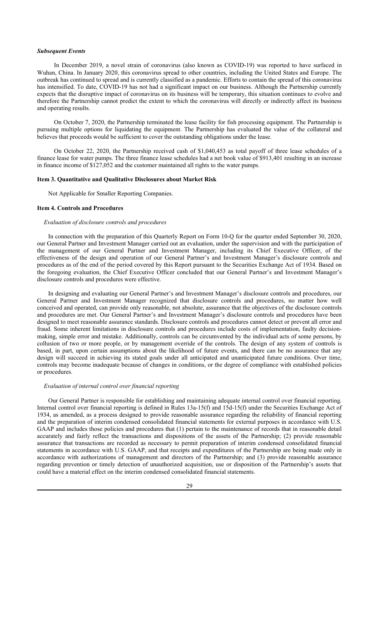#### *Subsequent Events*

In December 2019, a novel strain of coronavirus (also known as COVID-19) was reported to have surfaced in Wuhan, China. In January 2020, this coronavirus spread to other countries, including the United States and Europe. The outbreak has continued to spread and is currently classified as a pandemic. Efforts to contain the spread of this coronavirus has intensified. To date, COVID-19 has not had a significant impact on our business. Although the Partnership currently expects that the disruptive impact of coronavirus on its business will be temporary, this situation continues to evolve and therefore the Partnership cannot predict the extent to which the coronavirus will directly or indirectly affect its business and operating results.

On October 7, 2020, the Partnership terminated the lease facility for fish processing equipment. The Partnership is pursuing multiple options for liquidating the equipment. The Partnership has evaluated the value of the collateral and believes that proceeds would be sufficient to cover the outstanding obligations under the lease.

On October 22, 2020, the Partnership received cash of \$1,040,453 as total payoff of three lease schedules of a finance lease for water pumps. The three finance lease schedules had a net book value of \$913,401 resulting in an increase in finance income of  $$127,052$  and the customer maintained all rights to the water pumps.

## **Item 3. Quantitative and Qualitative Disclosures about Market Risk**

Not Applicable for Smaller Reporting Companies.

## **Item 4. Controls and Procedures**

#### *Evaluation of disclosure controls and procedures*

In connection with the preparation of this Quarterly Report on Form 10-Q for the quarter ended September 30, 2020, our General Partner and Investment Manager carried out an evaluation, under the supervision and with the participation of the management of our General Partner and Investment Manager, including its Chief Executive Officer, of the effectiveness of the design and operation of our General Partner's and Investment Manager's disclosure controls and procedures as of the end of the period covered by this Report pursuant to the Securities Exchange Act of 1934. Based on the foregoing evaluation, the Chief Executive Officer concluded that our General Partner's and Investment Manager's disclosure controls and procedures were effective.

In designing and evaluating our General Partner's and Investment Manager's disclosure controls and procedures, our General Partner and Investment Manager recognized that disclosure controls and procedures, no matter how well conceived and operated, can provide only reasonable, not absolute, assurance that the objectives of the disclosure controls and procedures are met. Our General Partner's and Investment Manager's disclosure controls and procedures have been designed to meet reasonable assurance standards. Disclosure controls and procedures cannot detect or prevent all error and fraud. Some inherent limitations in disclosure controls and procedures include costs of implementation, faulty decisionmaking, simple error and mistake. Additionally, controls can be circumvented by the individual acts of some persons, by collusion of two or more people, or by management override of the controls. The design of any system of controls is based, in part, upon certain assumptions about the likelihood of future events, and there can be no assurance that any design will succeed in achieving its stated goals under all anticipated and unanticipated future conditions. Over time, controls may become inadequate because of changes in conditions, or the degree of compliance with established policies or procedures.

#### *Evaluation of internal control over financial reporting*

Our General Partner is responsible for establishing and maintaining adequate internal control over financial reporting. Internal control over financial reporting is defined in Rules 13a-15(f) and 15d-15(f) under the Securities Exchange Act of 1934, as amended, as a process designed to provide reasonable assurance regarding the reliability of financial reporting and the preparation of interim condensed consolidated financial statements for external purposes in accordance with U.S. GAAP and includes those policies and procedures that (1) pertain to the maintenance of records that in reasonable detail accurately and fairly reflect the transactions and dispositions of the assets of the Partnership; (2) provide reasonable assurance that transactions are recorded as necessary to permit preparation of interim condensed consolidated financial statements in accordance with U.S. GAAP, and that receipts and expenditures of the Partnership are being made only in accordance with authorizations of management and directors of the Partnership; and (3) provide reasonable assurance regarding prevention or timely detection of unauthorized acquisition, use or disposition of the Partnership's assets that could have a material effect on the interim condensed consolidated financial statements.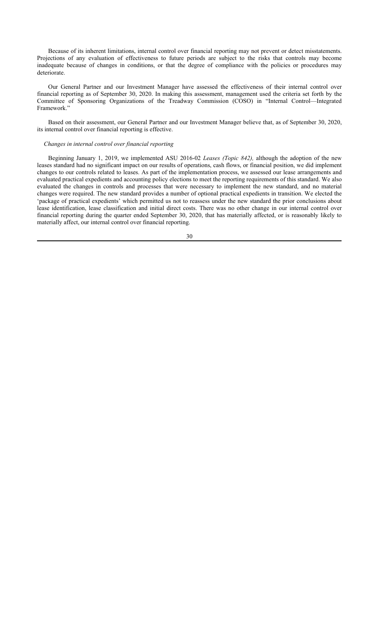Because of its inherent limitations, internal control over financial reporting may not prevent or detect misstatements. Projections of any evaluation of effectiveness to future periods are subject to the risks that controls may become inadequate because of changes in conditions, or that the degree of compliance with the policies or procedures may deteriorate.

Our General Partner and our Investment Manager have assessed the effectiveness of their internal control over financial reporting as of September 30, 2020. In making this assessment, management used the criteria set forth by the Committee of Sponsoring Organizations of the Treadway Commission (COSO) in "Internal Control—Integrated Framework.'

Based on their assessment, our General Partner and our Investment Manager believe that, as of September 30, 2020, its internal control over financial reporting is effective.

# *Changes in internal control over financial reporting*

Beginning January 1, 2019, we implemented ASU 2016-02 *Leases (Topic 842),* although the adoption of the new leases standard had no significant impact on our results of operations, cash flows, or financial position, we did implement changes to our controls related to leases. As part of the implementation process, we assessed our lease arrangements and evaluated practical expedients and accounting policy elections to meet the reporting requirements of this standard. We also evaluated the changes in controls and processes that were necessary to implement the new standard, and no material changes were required. The new standard provides a number of optional practical expedients in transition. We elected the 'package of practical expedients' which permitted us not to reassess under the new standard the prior conclusions about lease identification, lease classification and initial direct costs. There was no other change in our internal control over financial reporting during the quarter ended September 30, 2020, that has materially affected, or is reasonably likely to materially affect, our internal control over financial reporting.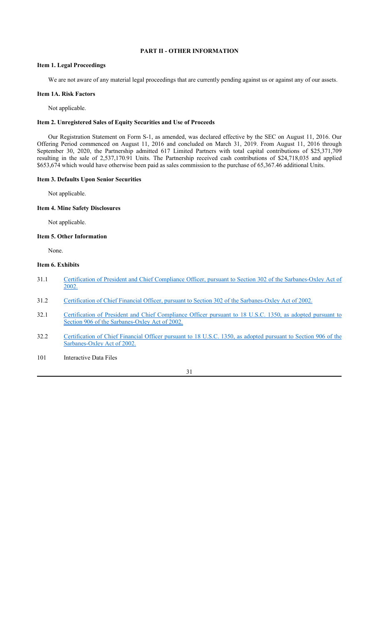# **PART II - OTHER INFORMATION**

# **Item 1. Legal Proceedings**

We are not aware of any material legal proceedings that are currently pending against us or against any of our assets.

## **Item 1A. Risk Factors**

Not applicable.

## **Item 2. Unregistered Sales of Equity Securities and Use of Proceeds**

Our Registration Statement on Form S-1, as amended, was declared effective by the SEC on August 11, 2016. Our Offering Period commenced on August 11, 2016 and concluded on March 31, 2019. From August 11, 2016 through September 30, 2020, the Partnership admitted 617 Limited Partners with total capital contributions of \$25,371,709 resulting in the sale of 2,537,170.91 Units. The Partnership received cash contributions of \$24,718,035 and applied \$653,674 which would have otherwise been paid as sales commission to the purchase of 65,367.46 additional Units.

# **Item 3. Defaults Upon Senior Securities**

Not applicable.

## **Item 4. Mine Safety Disclosures**

Not applicable.

# **Item 5. Other Information**

None.

# **Item 6. Exhibits**

- 31.1 Certification of President and Chief Compliance Officer, pursuant to Section 302 of the Sarbanes-Oxley Act of 2002.
- 31.2 Certification of Chief Financial Officer, pursuant to Section 302 of the Sarbanes-Oxley Act of 2002.
- 32.1 Certification of President and Chief Compliance Officer pursuant to 18 U.S.C. 1350, as adopted pursuant to Section 906 of the Sarbanes-Oxley Act of 2002.
- 32.2 Certification of Chief Financial Officer pursuant to 18 U.S.C. 1350, as adopted pursuant to Section 906 of the Sarbanes-Oxley Act of 2002.
- 101 Interactive Data Files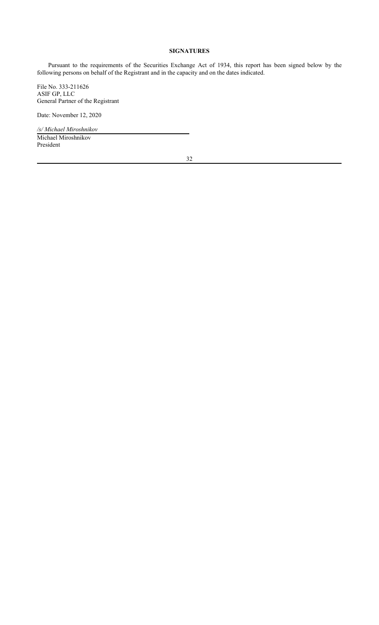# **SIGNATURES**

Pursuant to the requirements of the Securities Exchange Act of 1934, this report has been signed below by the following persons on behalf of the Registrant and in the capacity and on the dates indicated.

File No. 333-211626 ASIF GP, LLC General Partner of the Registrant

Date: November 12, 2020

*/s/ Michael Miroshnikov* Michael Miroshnikov President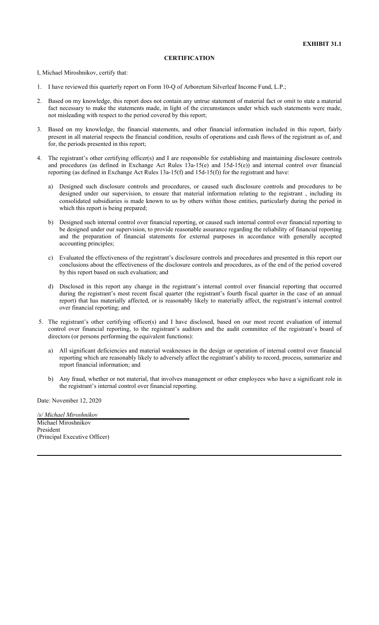## **CERTIFICATION**

I, Michael Miroshnikov, certify that:

- 1. I have reviewed this quarterly report on Form 10-Q of Arboretum Silverleaf Income Fund, L.P.;
- 2. Based on my knowledge, this report does not contain any untrue statement of material fact or omit to state a material fact necessary to make the statements made, in light of the circumstances under which such statements were made, not misleading with respect to the period covered by this report;
- 3. Based on my knowledge, the financial statements, and other financial information included in this report, fairly present in all material respects the financial condition, results of operations and cash flows of the registrant as of, and for, the periods presented in this report;
- 4. The registrant's other certifying officer(s) and I are responsible for establishing and maintaining disclosure controls and procedures (as defined in Exchange Act Rules 13a-15(e) and 15d-15(e)) and internal control over financial reporting (as defined in Exchange Act Rules 13a-15(f) and 15d-15(f)) for the registrant and have:
	- a) Designed such disclosure controls and procedures, or caused such disclosure controls and procedures to be designed under our supervision, to ensure that material information relating to the registrant , including its consolidated subsidiaries is made known to us by others within those entities, particularly during the period in which this report is being prepared;
	- b) Designed such internal control over financial reporting, or caused such internal control over financial reporting to be designed under our supervision, to provide reasonable assurance regarding the reliability of financial reporting and the preparation of financial statements for external purposes in accordance with generally accepted accounting principles;
	- c) Evaluated the effectiveness of the registrant's disclosure controls and procedures and presented in this report our conclusions about the effectiveness of the disclosure controls and procedures, as of the end of the period covered by this report based on such evaluation; and
	- d) Disclosed in this report any change in the registrant's internal control over financial reporting that occurred during the registrant's most recent fiscal quarter (the registrant's fourth fiscal quarter in the case of an annual report) that has materially affected, or is reasonably likely to materially affect, the registrant's internal control over financial reporting; and
- 5. The registrant's other certifying officer(s) and I have disclosed, based on our most recent evaluation of internal control over financial reporting, to the registrant's auditors and the audit committee of the registrant's board of directors (or persons performing the equivalent functions):
	- a) All significant deficiencies and material weaknesses in the design or operation of internal control over financial reporting which are reasonably likely to adversely affect the registrant's ability to record, process, summarize and report financial information; and
	- b) Any fraud, whether or not material, that involves management or other employees who have a significant role in the registrant's internal control over financial reporting.

Date: November 12, 2020

*/s/ Michael Miroshnikov* Michael Miroshnikov President (Principal Executive Officer)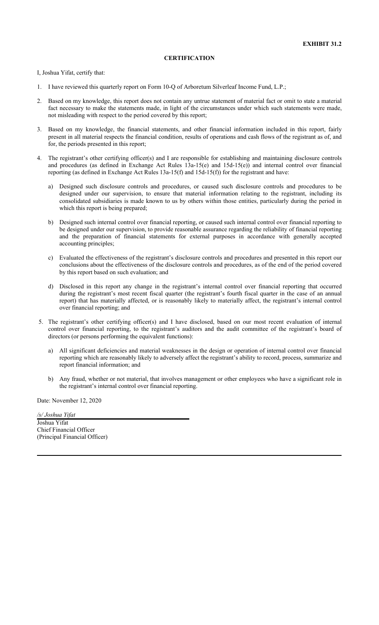## **CERTIFICATION**

I, Joshua Yifat, certify that:

- 1. I have reviewed this quarterly report on Form 10-Q of Arboretum Silverleaf Income Fund, L.P.;
- 2. Based on my knowledge, this report does not contain any untrue statement of material fact or omit to state a material fact necessary to make the statements made, in light of the circumstances under which such statements were made, not misleading with respect to the period covered by this report;
- 3. Based on my knowledge, the financial statements, and other financial information included in this report, fairly present in all material respects the financial condition, results of operations and cash flows of the registrant as of, and for, the periods presented in this report;
- 4. The registrant's other certifying officer(s) and I are responsible for establishing and maintaining disclosure controls and procedures (as defined in Exchange Act Rules 13a-15(e) and 15d-15(e)) and internal control over financial reporting (as defined in Exchange Act Rules 13a-15(f) and 15d-15(f)) for the registrant and have:
	- a) Designed such disclosure controls and procedures, or caused such disclosure controls and procedures to be designed under our supervision, to ensure that material information relating to the registrant, including its consolidated subsidiaries is made known to us by others within those entities, particularly during the period in which this report is being prepared;
	- b) Designed such internal control over financial reporting, or caused such internal control over financial reporting to be designed under our supervision, to provide reasonable assurance regarding the reliability of financial reporting and the preparation of financial statements for external purposes in accordance with generally accepted accounting principles;
	- c) Evaluated the effectiveness of the registrant's disclosure controls and procedures and presented in this report our conclusions about the effectiveness of the disclosure controls and procedures, as of the end of the period covered by this report based on such evaluation; and
	- d) Disclosed in this report any change in the registrant's internal control over financial reporting that occurred during the registrant's most recent fiscal quarter (the registrant's fourth fiscal quarter in the case of an annual report) that has materially affected, or is reasonably likely to materially affect, the registrant's internal control over financial reporting; and
- 5. The registrant's other certifying officer(s) and I have disclosed, based on our most recent evaluation of internal control over financial reporting, to the registrant's auditors and the audit committee of the registrant's board of directors (or persons performing the equivalent functions):
	- a) All significant deficiencies and material weaknesses in the design or operation of internal control over financial reporting which are reasonably likely to adversely affect the registrant's ability to record, process, summarize and report financial information; and
	- b) Any fraud, whether or not material, that involves management or other employees who have a significant role in the registrant's internal control over financial reporting.

Date: November 12, 2020

*/s/ Joshua Yifat* Joshua Yifat Chief Financial Officer (Principal Financial Officer)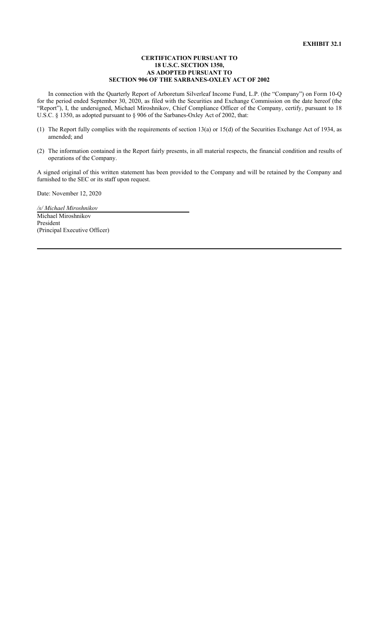# **CERTIFICATION PURSUANT TO 18 U.S.C. SECTION 1350, AS ADOPTED PURSUANT TO SECTION 906 OF THE SARBANES-OXLEY ACT OF 2002**

In connection with the Quarterly Report of Arboretum Silverleaf Income Fund, L.P. (the "Company") on Form 10-Q for the period ended September 30, 2020, as filed with the Securities and Exchange Commission on the date hereof (the "Report"), I, the undersigned, Michael Miroshnikov, Chief Compliance Officer of the Company, certify, pursuant to 18 U.S.C. § 1350, as adopted pursuant to § 906 of the Sarbanes-Oxley Act of 2002, that:

- (1) The Report fully complies with the requirements of section 13(a) or 15(d) of the Securities Exchange Act of 1934, as amended; and
- (2) The information contained in the Report fairly presents, in all material respects, the financial condition and results of operations of the Company.

A signed original of this written statement has been provided to the Company and will be retained by the Company and furnished to the SEC or its staff upon request.

Date: November 12, 2020

*/s/ Michael Miroshnikov* Michael Miroshnikov President (Principal Executive Officer)